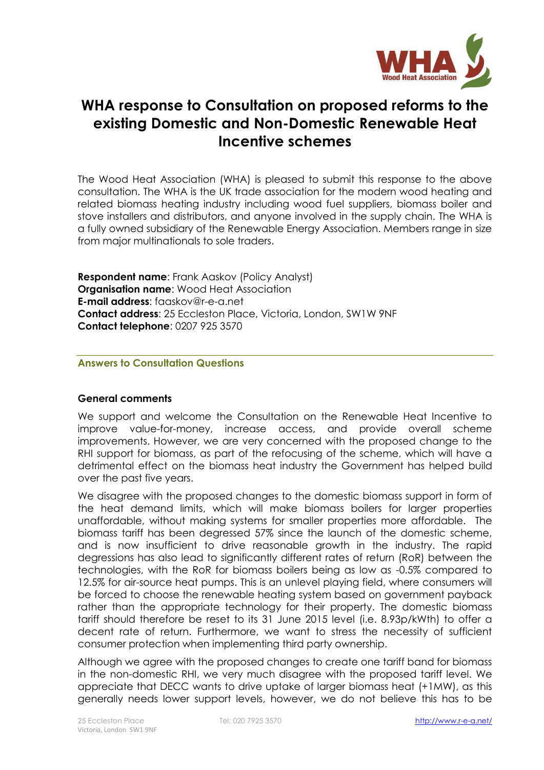

# **WHA response to Consultation on proposed reforms to the existing Domestic and Non-Domestic Renewable Heat Incentive schemes**

The Wood Heat Association (WHA) is pleased to submit this response to the above consultation. The WHA is the UK trade association for the modern wood heating and related biomass heating industry including wood fuel suppliers, biomass boiler and stove installers and distributors, and anyone involved in the supply chain. The WHA is a fully owned subsidiary of the Renewable Energy Association. Members range in size from major multinationals to sole traders.

**Respondent name**: Frank Aaskov (Policy Analyst) **Organisation name**: Wood Heat Association **E-mail address**: faaskov@r-e-a.net **Contact address**: 25 Eccleston Place, Victoria, London, SW1W 9NF **Contact telephone**: 0207 925 3570

#### **Answers to Consultation Questions**

#### **General comments**

We support and welcome the Consultation on the Renewable Heat Incentive to improve value-for-money, increase access, and provide overall scheme improvements. However, we are very concerned with the proposed change to the RHI support for biomass, as part of the refocusing of the scheme, which will have a detrimental effect on the biomass heat industry the Government has helped build over the past five years.

We disagree with the proposed changes to the domestic biomass support in form of the heat demand limits, which will make biomass boilers for larger properties unaffordable, without making systems for smaller properties more affordable. The biomass tariff has been degressed 57% since the launch of the domestic scheme, and is now insufficient to drive reasonable growth in the industry. The rapid degressions has also lead to significantly different rates of return (RoR) between the technologies, with the RoR for biomass boilers being as low as -0.5% compared to 12.5% for air-source heat pumps. This is an unlevel playing field, where consumers will be forced to choose the renewable heating system based on government payback rather than the appropriate technology for their property. The domestic biomass tariff should therefore be reset to its 31 June 2015 level (i.e. 8.93p/kWth) to offer a decent rate of return. Furthermore, we want to stress the necessity of sufficient consumer protection when implementing third party ownership.

Although we agree with the proposed changes to create one tariff band for biomass in the non-domestic RHI, we very much disagree with the proposed tariff level. We appreciate that DECC wants to drive uptake of larger biomass heat (+1MW), as this generally needs lower support levels, however, we do not believe this has to be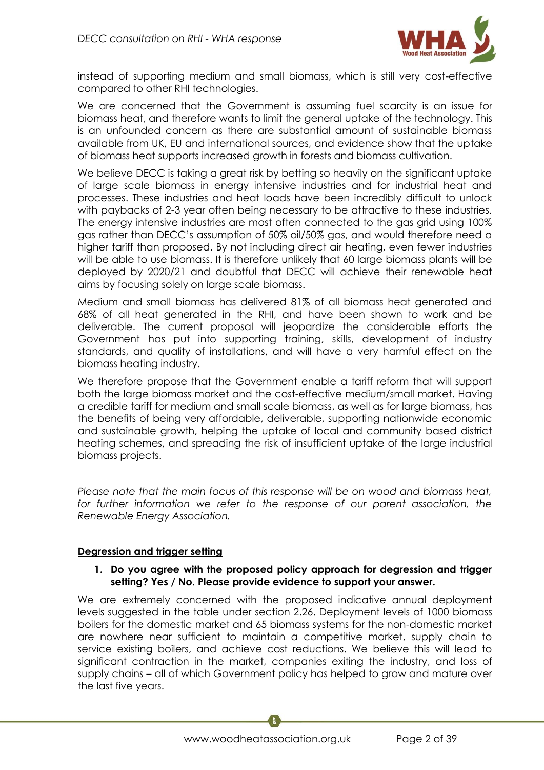

instead of supporting medium and small biomass, which is still very cost-effective compared to other RHI technologies.

We are concerned that the Government is assuming fuel scarcity is an issue for biomass heat, and therefore wants to limit the general uptake of the technology. This is an unfounded concern as there are substantial amount of sustainable biomass available from UK, EU and international sources, and evidence show that the uptake of biomass heat supports increased growth in forests and biomass cultivation.

We believe DECC is taking a great risk by betting so heavily on the significant uptake of large scale biomass in energy intensive industries and for industrial heat and processes. These industries and heat loads have been incredibly difficult to unlock with paybacks of 2-3 year often being necessary to be attractive to these industries. The energy intensive industries are most often connected to the gas grid using 100% gas rather than DECC's assumption of 50% oil/50% gas, and would therefore need a higher tariff than proposed. By not including direct air heating, even fewer industries will be able to use biomass. It is therefore unlikely that 60 large biomass plants will be deployed by 2020/21 and doubtful that DECC will achieve their renewable heat aims by focusing solely on large scale biomass.

Medium and small biomass has delivered 81% of all biomass heat generated and 68% of all heat generated in the RHI, and have been shown to work and be deliverable. The current proposal will jeopardize the considerable efforts the Government has put into supporting training, skills, development of industry standards, and quality of installations, and will have a very harmful effect on the biomass heating industry.

We therefore propose that the Government enable a tariff reform that will support both the large biomass market and the cost-effective medium/small market. Having a credible tariff for medium and small scale biomass, as well as for large biomass, has the benefits of being very affordable, deliverable, supporting nationwide economic and sustainable growth, helping the uptake of local and community based district heating schemes, and spreading the risk of insufficient uptake of the large industrial biomass projects.

*Please note that the main focus of this response will be on wood and biomass heat,*  for further information we refer to the response of our parent association, the *Renewable Energy Association.* 

## **Degression and trigger setting**

#### **1. Do you agree with the proposed policy approach for degression and trigger setting? Yes / No. Please provide evidence to support your answer.**

We are extremely concerned with the proposed indicative annual deployment levels suggested in the table under section 2.26. Deployment levels of 1000 biomass boilers for the domestic market and 65 biomass systems for the non-domestic market are nowhere near sufficient to maintain a competitive market, supply chain to service existing boilers, and achieve cost reductions. We believe this will lead to significant contraction in the market, companies exiting the industry, and loss of supply chains – all of which Government policy has helped to grow and mature over the last five years.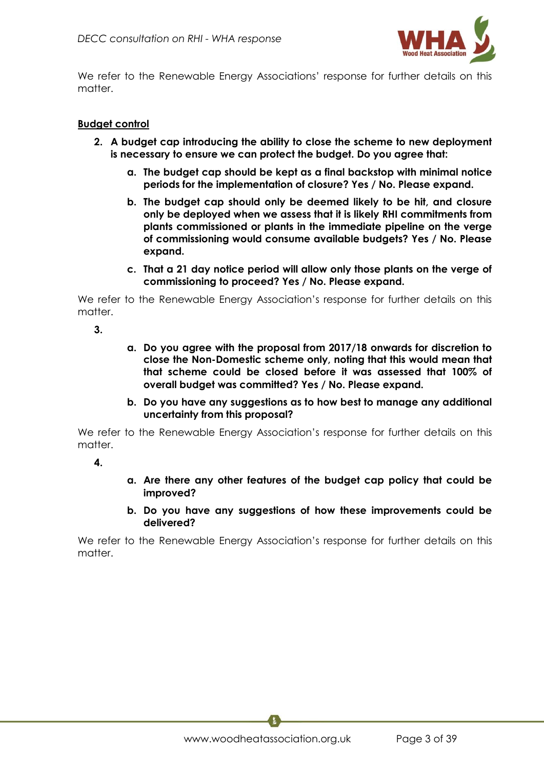

We refer to the Renewable Energy Associations' response for further details on this matter.

#### **Budget control**

- **2. A budget cap introducing the ability to close the scheme to new deployment is necessary to ensure we can protect the budget. Do you agree that:**
	- **a. The budget cap should be kept as a final backstop with minimal notice periods for the implementation of closure? Yes / No. Please expand.**
	- **b. The budget cap should only be deemed likely to be hit, and closure only be deployed when we assess that it is likely RHI commitments from plants commissioned or plants in the immediate pipeline on the verge of commissioning would consume available budgets? Yes / No. Please expand.**
	- **c. That a 21 day notice period will allow only those plants on the verge of commissioning to proceed? Yes / No. Please expand.**

We refer to the Renewable Energy Association's response for further details on this matter.

- **3.**
- **a. Do you agree with the proposal from 2017/18 onwards for discretion to close the Non-Domestic scheme only, noting that this would mean that that scheme could be closed before it was assessed that 100% of overall budget was committed? Yes / No. Please expand.**
- **b. Do you have any suggestions as to how best to manage any additional uncertainty from this proposal?**

We refer to the Renewable Energy Association's response for further details on this matter.

**4.**

- **a. Are there any other features of the budget cap policy that could be improved?**
- **b. Do you have any suggestions of how these improvements could be delivered?**

We refer to the Renewable Energy Association's response for further details on this matter.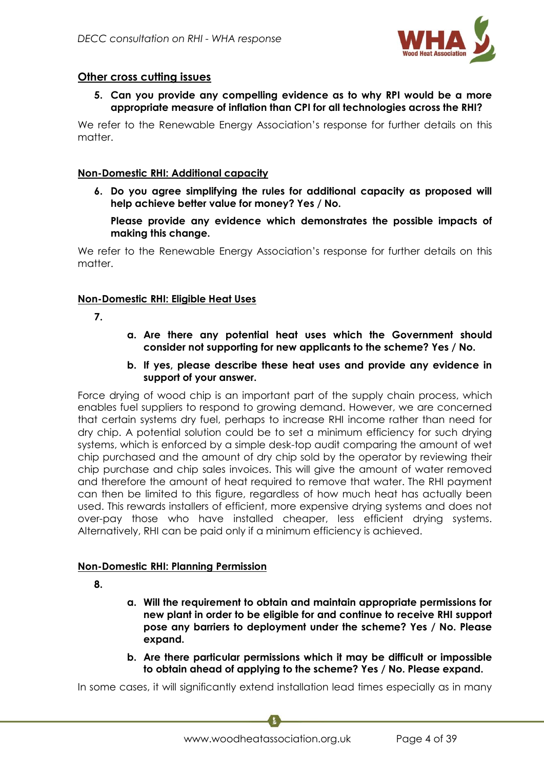

# **Other cross cutting issues**

**5. Can you provide any compelling evidence as to why RPI would be a more appropriate measure of inflation than CPI for all technologies across the RHI?** 

We refer to the Renewable Energy Association's response for further details on this matter.

## **Non-Domestic RHI: Additional capacity**

**6. Do you agree simplifying the rules for additional capacity as proposed will help achieve better value for money? Yes / No.** 

**Please provide any evidence which demonstrates the possible impacts of making this change.** 

We refer to the Renewable Energy Association's response for further details on this matter.

# **Non-Domestic RHI: Eligible Heat Uses**

- **7.**
- **a. Are there any potential heat uses which the Government should consider not supporting for new applicants to the scheme? Yes / No.**
- **b. If yes, please describe these heat uses and provide any evidence in support of your answer.**

Force drying of wood chip is an important part of the supply chain process, which enables fuel suppliers to respond to growing demand. However, we are concerned that certain systems dry fuel, perhaps to increase RHI income rather than need for dry chip. A potential solution could be to set a minimum efficiency for such drying systems, which is enforced by a simple desk-top audit comparing the amount of wet chip purchased and the amount of dry chip sold by the operator by reviewing their chip purchase and chip sales invoices. This will give the amount of water removed and therefore the amount of heat required to remove that water. The RHI payment can then be limited to this figure, regardless of how much heat has actually been used. This rewards installers of efficient, more expensive drying systems and does not over-pay those who have installed cheaper, less efficient drying systems. Alternatively, RHI can be paid only if a minimum efficiency is achieved.

# **Non-Domestic RHI: Planning Permission**

- **8.**
- **a. Will the requirement to obtain and maintain appropriate permissions for new plant in order to be eligible for and continue to receive RHI support pose any barriers to deployment under the scheme? Yes / No. Please expand.**
- **b. Are there particular permissions which it may be difficult or impossible to obtain ahead of applying to the scheme? Yes / No. Please expand.**

In some cases, it will significantly extend installation lead times especially as in many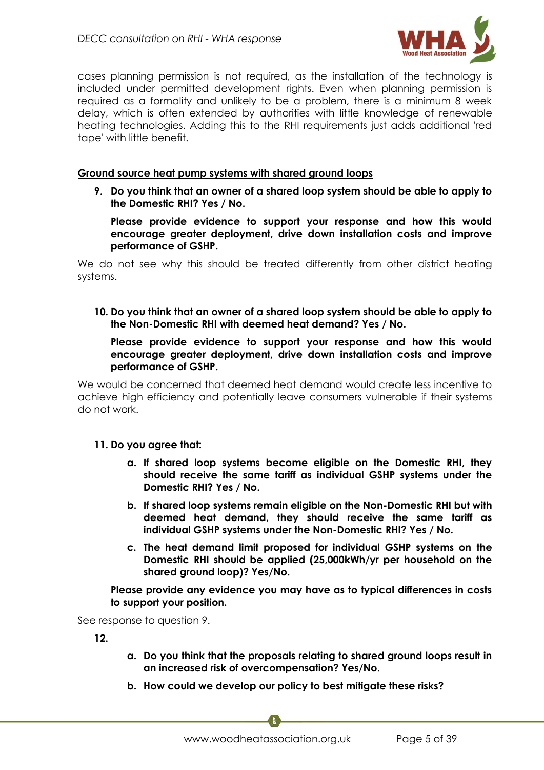

cases planning permission is not required, as the installation of the technology is included under permitted development rights. Even when planning permission is required as a formality and unlikely to be a problem, there is a minimum 8 week delay, which is often extended by authorities with little knowledge of renewable heating technologies. Adding this to the RHI requirements just adds additional 'red tape' with little benefit.

#### **Ground source heat pump systems with shared ground loops**

**9. Do you think that an owner of a shared loop system should be able to apply to the Domestic RHI? Yes / No.** 

**Please provide evidence to support your response and how this would encourage greater deployment, drive down installation costs and improve performance of GSHP.** 

We do not see why this should be treated differently from other district heating systems.

**10. Do you think that an owner of a shared loop system should be able to apply to the Non-Domestic RHI with deemed heat demand? Yes / No.** 

#### **Please provide evidence to support your response and how this would encourage greater deployment, drive down installation costs and improve performance of GSHP.**

We would be concerned that deemed heat demand would create less incentive to achieve high efficiency and potentially leave consumers vulnerable if their systems do not work.

#### **11. Do you agree that:**

- **a. If shared loop systems become eligible on the Domestic RHI, they should receive the same tariff as individual GSHP systems under the Domestic RHI? Yes / No.**
- **b. If shared loop systems remain eligible on the Non-Domestic RHI but with deemed heat demand, they should receive the same tariff as individual GSHP systems under the Non-Domestic RHI? Yes / No.**
- **c. The heat demand limit proposed for individual GSHP systems on the Domestic RHI should be applied (25,000kWh/yr per household on the shared ground loop)? Yes/No.**

**Please provide any evidence you may have as to typical differences in costs to support your position.**

See response to question 9.

**12.**

- **a. Do you think that the proposals relating to shared ground loops result in an increased risk of overcompensation? Yes/No.**
- **b. How could we develop our policy to best mitigate these risks?**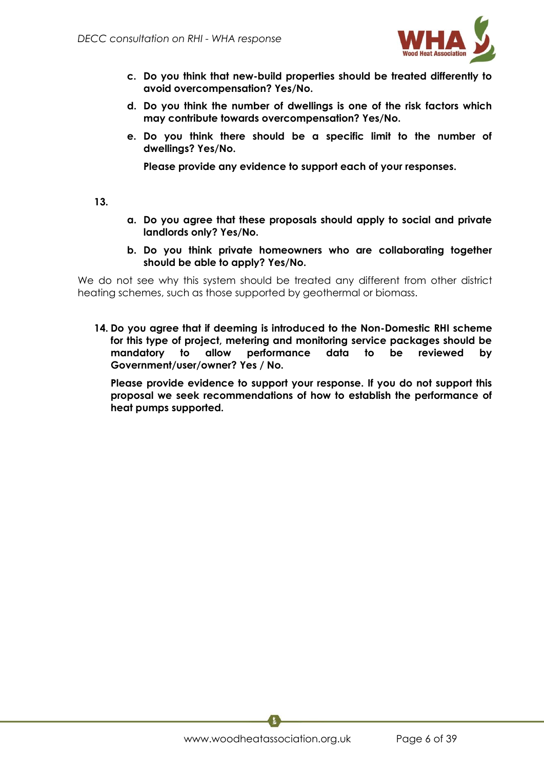

- **c. Do you think that new-build properties should be treated differently to avoid overcompensation? Yes/No.**
- **d. Do you think the number of dwellings is one of the risk factors which may contribute towards overcompensation? Yes/No.**
- **e. Do you think there should be a specific limit to the number of dwellings? Yes/No.**

**Please provide any evidence to support each of your responses.**

**13.**

- **a. Do you agree that these proposals should apply to social and private landlords only? Yes/No.**
- **b. Do you think private homeowners who are collaborating together should be able to apply? Yes/No.**

We do not see why this system should be treated any different from other district heating schemes, such as those supported by geothermal or biomass.

**14. Do you agree that if deeming is introduced to the Non-Domestic RHI scheme for this type of project, metering and monitoring service packages should be mandatory to allow performance data to be reviewed by Government/user/owner? Yes / No.**

**Please provide evidence to support your response. If you do not support this proposal we seek recommendations of how to establish the performance of heat pumps supported.**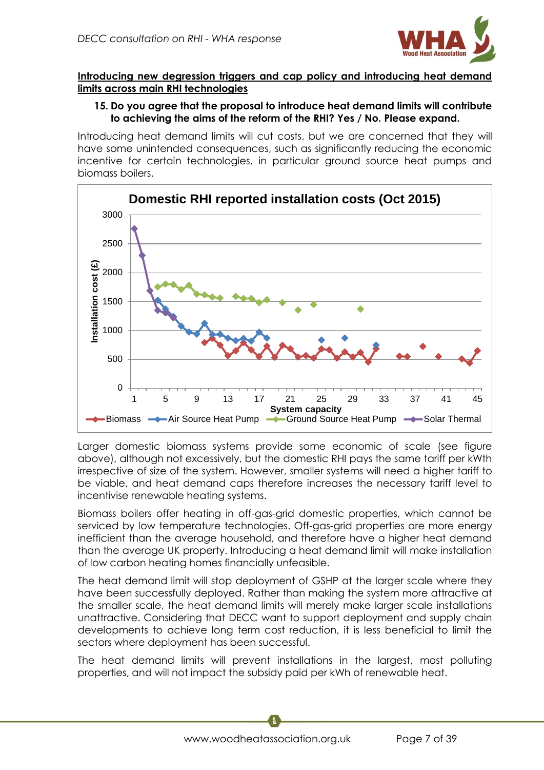

## **Introducing new degression triggers and cap policy and introducing heat demand limits across main RHI technologies**

## **15. Do you agree that the proposal to introduce heat demand limits will contribute to achieving the aims of the reform of the RHI? Yes / No. Please expand.**

Introducing heat demand limits will cut costs, but we are concerned that they will have some unintended consequences, such as significantly reducing the economic incentive for certain technologies, in particular ground source heat pumps and biomass boilers.



Larger domestic biomass systems provide some economic of scale (see figure above), although not excessively, but the domestic RHI pays the same tariff per kWth irrespective of size of the system. However, smaller systems will need a higher tariff to be viable, and heat demand caps therefore increases the necessary tariff level to incentivise renewable heating systems.

Biomass boilers offer heating in off-gas-grid domestic properties, which cannot be serviced by low temperature technologies. Off-gas-grid properties are more energy inefficient than the average household, and therefore have a higher heat demand than the average UK property. Introducing a heat demand limit will make installation of low carbon heating homes financially unfeasible.

The heat demand limit will stop deployment of GSHP at the larger scale where they have been successfully deployed. Rather than making the system more attractive at the smaller scale, the heat demand limits will merely make larger scale installations unattractive. Considering that DECC want to support deployment and supply chain developments to achieve long term cost reduction, it is less beneficial to limit the sectors where deployment has been successful.

The heat demand limits will prevent installations in the largest, most polluting properties, and will not impact the subsidy paid per kWh of renewable heat.

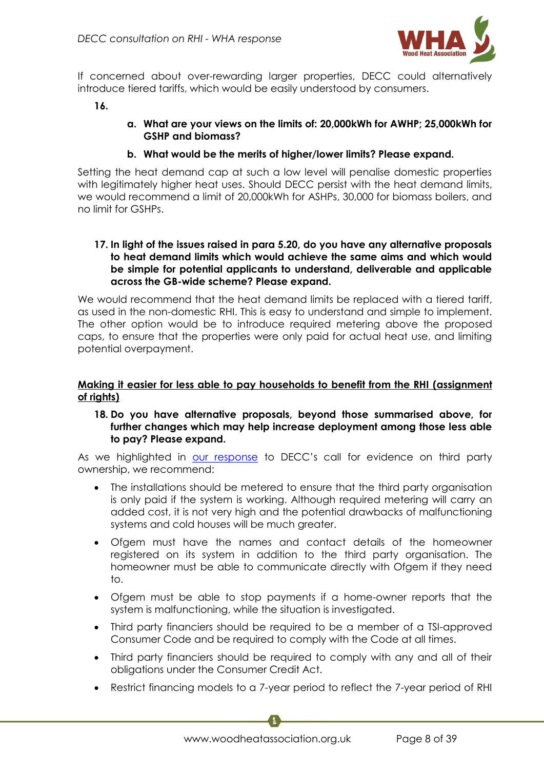

If concerned about over-rewarding larger properties, DECC could alternatively introduce tiered tariffs, which would be easily understood by consumers.

**16.**

**a. What are your views on the limits of: 20,000kWh for AWHP; 25,000kWh for GSHP and biomass?** 

#### **b. What would be the merits of higher/lower limits? Please expand.**

Setting the heat demand cap at such a low level will penalise domestic properties with legitimately higher heat uses. Should DECC persist with the heat demand limits, we would recommend a limit of 20,000kWh for ASHPs, 30,000 for biomass boilers, and no limit for GSHPs.

#### **17. In light of the issues raised in para 5.20, do you have any alternative proposals to heat demand limits which would achieve the same aims and which would be simple for potential applicants to understand, deliverable and applicable across the GB-wide scheme? Please expand.**

We would recommend that the heat demand limits be replaced with a tiered tariff, as used in the non-domestic RHI. This is easy to understand and simple to implement. The other option would be to introduce required metering above the proposed caps, to ensure that the properties were only paid for actual heat use, and limiting potential overpayment.

## **Making it easier for less able to pay households to benefit from the RHI (assignment of rights)**

#### **18. Do you have alternative proposals, beyond those summarised above, for further changes which may help increase deployment among those less able to pay? Please expand.**

As we highlighted in [our response](http://www.r-e-a.net/resources/pdf/198/150313_REA-WHA_response_to_DECC_Call_for_Evidence_on_Third_Party_Finance_Options.pdf) to DECC's call for evidence on third party ownership, we recommend:

- The installations should be metered to ensure that the third party organisation is only paid if the system is working. Although required metering will carry an added cost, it is not very high and the potential drawbacks of malfunctioning systems and cold houses will be much greater.
- Ofgem must have the names and contact details of the homeowner registered on its system in addition to the third party organisation. The homeowner must be able to communicate directly with Ofgem if they need to.
- Ofgem must be able to stop payments if a home-owner reports that the system is malfunctioning, while the situation is investigated.
- Third party financiers should be required to be a member of a TSI-approved Consumer Code and be required to comply with the Code at all times.
- Third party financiers should be required to comply with any and all of their obligations under the Consumer Credit Act.
- Restrict financing models to a 7-year period to reflect the 7-year period of RHI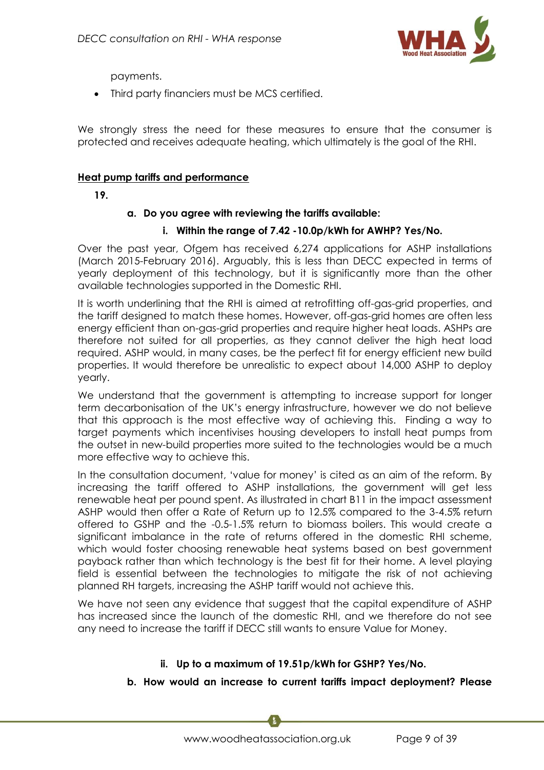

payments.

Third party financiers must be MCS certified.

We strongly stress the need for these measures to ensure that the consumer is protected and receives adequate heating, which ultimately is the goal of the RHI.

## **Heat pump tariffs and performance**

**19.**

## **a. Do you agree with reviewing the tariffs available:**

## **i. Within the range of 7.42 -10.0p/kWh for AWHP? Yes/No.**

Over the past year, Ofgem has received 6,274 applications for ASHP installations (March 2015-February 2016). Arguably, this is less than DECC expected in terms of yearly deployment of this technology, but it is significantly more than the other available technologies supported in the Domestic RHI.

It is worth underlining that the RHI is aimed at retrofitting off-gas-grid properties, and the tariff designed to match these homes. However, off-gas-grid homes are often less energy efficient than on-gas-grid properties and require higher heat loads. ASHPs are therefore not suited for all properties, as they cannot deliver the high heat load required. ASHP would, in many cases, be the perfect fit for energy efficient new build properties. It would therefore be unrealistic to expect about 14,000 ASHP to deploy yearly.

We understand that the government is attempting to increase support for longer term decarbonisation of the UK's energy infrastructure, however we do not believe that this approach is the most effective way of achieving this. Finding a way to target payments which incentivises housing developers to install heat pumps from the outset in new-build properties more suited to the technologies would be a much more effective way to achieve this.

In the consultation document, 'value for money' is cited as an aim of the reform. By increasing the tariff offered to ASHP installations, the government will get less renewable heat per pound spent. As illustrated in chart B11 in the impact assessment ASHP would then offer a Rate of Return up to 12.5% compared to the 3-4.5% return offered to GSHP and the -0.5-1.5% return to biomass boilers. This would create a significant imbalance in the rate of returns offered in the domestic RHI scheme, which would foster choosing renewable heat systems based on best government payback rather than which technology is the best fit for their home. A level playing field is essential between the technologies to mitigate the risk of not achieving planned RH targets, increasing the ASHP tariff would not achieve this.

We have not seen any evidence that suggest that the capital expenditure of ASHP has increased since the launch of the domestic RHI, and we therefore do not see any need to increase the tariff if DECC still wants to ensure Value for Money.

## **ii. Up to a maximum of 19.51p/kWh for GSHP? Yes/No.**

## **b. How would an increase to current tariffs impact deployment? Please**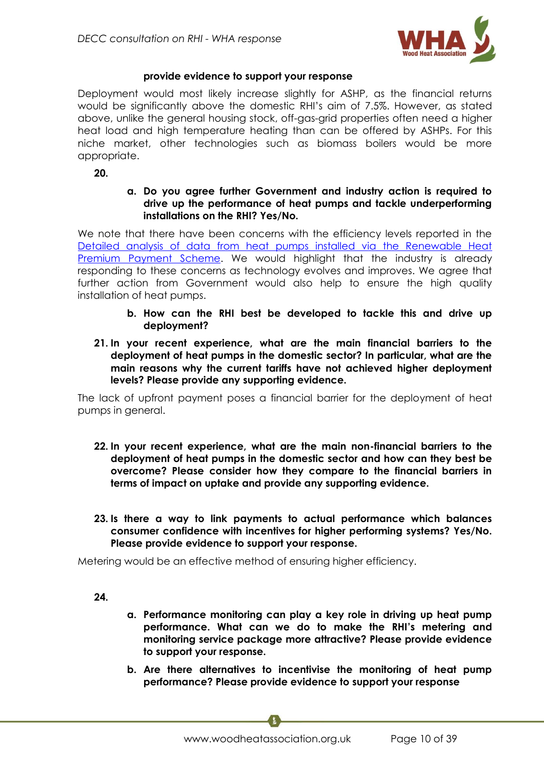

# **provide evidence to support your response**

Deployment would most likely increase slightly for ASHP, as the financial returns would be significantly above the domestic RHI's aim of 7.5%. However, as stated above, unlike the general housing stock, off-gas-grid properties often need a higher heat load and high temperature heating than can be offered by ASHPs. For this niche market, other technologies such as biomass boilers would be more appropriate.

**20.**

#### **a. Do you agree further Government and industry action is required to drive up the performance of heat pumps and tackle underperforming installations on the RHI? Yes/No.**

We note that there have been concerns with the efficiency levels reported in the [Detailed analysis of data from heat pumps installed via the Renewable Heat](https://www.gov.uk/government/uploads/system/uploads/attachment_data/file/499194/DECC_RHPP_160112_Detailed_analysis_report.pdf)  [Premium Payment Scheme.](https://www.gov.uk/government/uploads/system/uploads/attachment_data/file/499194/DECC_RHPP_160112_Detailed_analysis_report.pdf) We would highlight that the industry is already responding to these concerns as technology evolves and improves. We agree that further action from Government would also help to ensure the high quality installation of heat pumps.

- **b. How can the RHI best be developed to tackle this and drive up deployment?**
- **21. In your recent experience, what are the main financial barriers to the deployment of heat pumps in the domestic sector? In particular, what are the main reasons why the current tariffs have not achieved higher deployment levels? Please provide any supporting evidence.**

The lack of upfront payment poses a financial barrier for the deployment of heat pumps in general.

- **22. In your recent experience, what are the main non-financial barriers to the deployment of heat pumps in the domestic sector and how can they best be overcome? Please consider how they compare to the financial barriers in terms of impact on uptake and provide any supporting evidence.**
- **23. Is there a way to link payments to actual performance which balances consumer confidence with incentives for higher performing systems? Yes/No. Please provide evidence to support your response.**

Metering would be an effective method of ensuring higher efficiency.

**24.**

- **a. Performance monitoring can play a key role in driving up heat pump performance. What can we do to make the RHI's metering and monitoring service package more attractive? Please provide evidence to support your response.**
- **b. Are there alternatives to incentivise the monitoring of heat pump performance? Please provide evidence to support your response**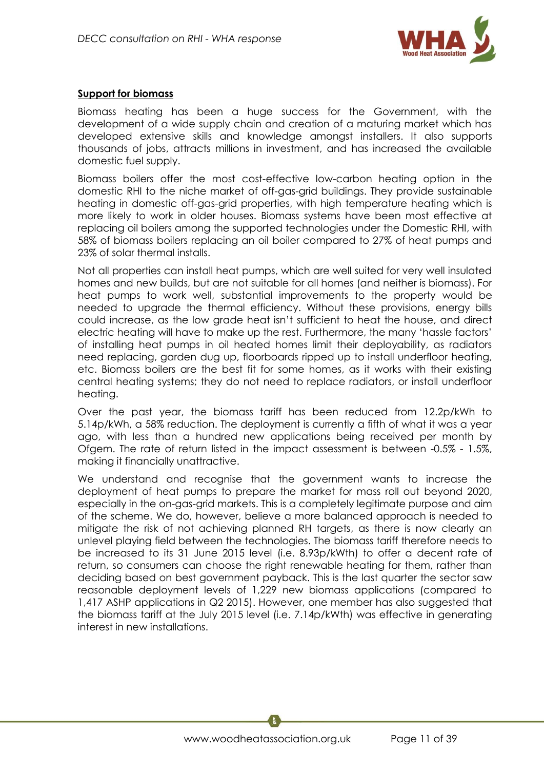

# **Support for biomass**

Biomass heating has been a huge success for the Government, with the development of a wide supply chain and creation of a maturing market which has developed extensive skills and knowledge amongst installers. It also supports thousands of jobs, attracts millions in investment, and has increased the available domestic fuel supply.

Biomass boilers offer the most cost-effective low-carbon heating option in the domestic RHI to the niche market of off-gas-grid buildings. They provide sustainable heating in domestic off-gas-grid properties, with high temperature heating which is more likely to work in older houses. Biomass systems have been most effective at replacing oil boilers among the supported technologies under the Domestic RHI, with 58% of biomass boilers replacing an oil boiler compared to 27% of heat pumps and 23% of solar thermal installs.

Not all properties can install heat pumps, which are well suited for very well insulated homes and new builds, but are not suitable for all homes (and neither is biomass). For heat pumps to work well, substantial improvements to the property would be needed to upgrade the thermal efficiency. Without these provisions, energy bills could increase, as the low grade heat isn't sufficient to heat the house, and direct electric heating will have to make up the rest. Furthermore, the many 'hassle factors' of installing heat pumps in oil heated homes limit their deployability, as radiators need replacing, garden dug up, floorboards ripped up to install underfloor heating, etc. Biomass boilers are the best fit for some homes, as it works with their existing central heating systems; they do not need to replace radiators, or install underfloor heating.

Over the past year, the biomass tariff has been reduced from 12.2p/kWh to 5.14p/kWh, a 58% reduction. The deployment is currently a fifth of what it was a year ago, with less than a hundred new applications being received per month by Ofgem. The rate of return listed in the impact assessment is between -0.5% - 1.5%, making it financially unattractive.

We understand and recognise that the government wants to increase the deployment of heat pumps to prepare the market for mass roll out beyond 2020, especially in the on-gas-grid markets. This is a completely legitimate purpose and aim of the scheme. We do, however, believe a more balanced approach is needed to mitigate the risk of not achieving planned RH targets, as there is now clearly an unlevel playing field between the technologies. The biomass tariff therefore needs to be increased to its 31 June 2015 level (i.e. 8.93p/kWth) to offer a decent rate of return, so consumers can choose the right renewable heating for them, rather than deciding based on best government payback. This is the last quarter the sector saw reasonable deployment levels of 1,229 new biomass applications (compared to 1,417 ASHP applications in Q2 2015). However, one member has also suggested that the biomass tariff at the July 2015 level (i.e. 7.14p/kWth) was effective in generating interest in new installations.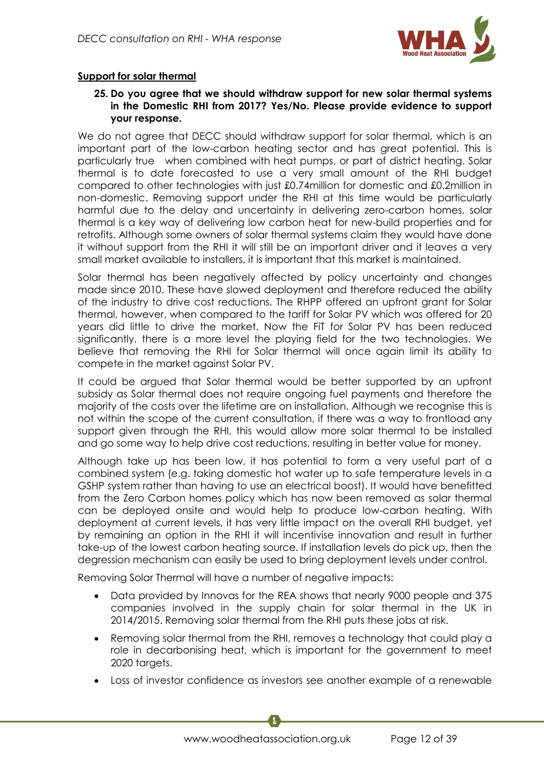

# **Support for solar thermal**

#### **25. Do you agree that we should withdraw support for new solar thermal systems in the Domestic RHI from 2017? Yes/No. Please provide evidence to support your response.**

We do not agree that DECC should withdraw support for solar thermal, which is an important part of the low-carbon heating sector and has great potential. This is particularly true when combined with heat pumps, or part of district heating. Solar thermal is to date forecasted to use a very small amount of the RHI budget compared to other technologies with just £0.74million for domestic and £0.2million in non-domestic. Removing support under the RHI at this time would be particularly harmful due to the delay and uncertainty in delivering zero-carbon homes, solar thermal is a key way of delivering low carbon heat for new-build properties and for retrofits. Although some owners of solar thermal systems claim they would have done it without support from the RHI it will still be an important driver and it leaves a very small market available to installers, it is important that this market is maintained.

Solar thermal has been negatively affected by policy uncertainty and changes made since 2010. These have slowed deployment and therefore reduced the ability of the industry to drive cost reductions. The RHPP offered an upfront grant for Solar thermal, however, when compared to the tariff for Solar PV which was offered for 20 years did little to drive the market. Now the FiT for Solar PV has been reduced significantly, there is a more level the playing field for the two technologies. We believe that removing the RHI for Solar thermal will once again limit its ability to compete in the market against Solar PV.

It could be argued that Solar thermal would be better supported by an upfront subsidy as Solar thermal does not require ongoing fuel payments and therefore the majority of the costs over the lifetime are on installation. Although we recognise this is not within the scope of the current consultation, if there was a way to frontload any support given through the RHI, this would allow more solar thermal to be installed and go some way to help drive cost reductions, resulting in better value for money.

Although take up has been low, it has potential to form a very useful part of a combined system (e.g. taking domestic hot water up to safe temperature levels in a GSHP system rather than having to use an electrical boost). It would have benefitted from the Zero Carbon homes policy which has now been removed as solar thermal can be deployed onsite and would help to produce low-carbon heating. With deployment at current levels, it has very little impact on the overall RHI budget, yet by remaining an option in the RHI it will incentivise innovation and result in further take-up of the lowest carbon heating source. If installation levels do pick up, then the degression mechanism can easily be used to bring deployment levels under control.

Removing Solar Thermal will have a number of negative impacts:

- Data provided by Innovas for the REA shows that nearly 9000 people and 375 companies involved in the supply chain for solar thermal in the UK in 2014/2015. Removing solar thermal from the RHI puts these jobs at risk.
- Removing solar thermal from the RHI, removes a technology that could play a role in decarbonising heat, which is important for the government to meet 2020 targets.
- Loss of investor confidence as investors see another example of a renewable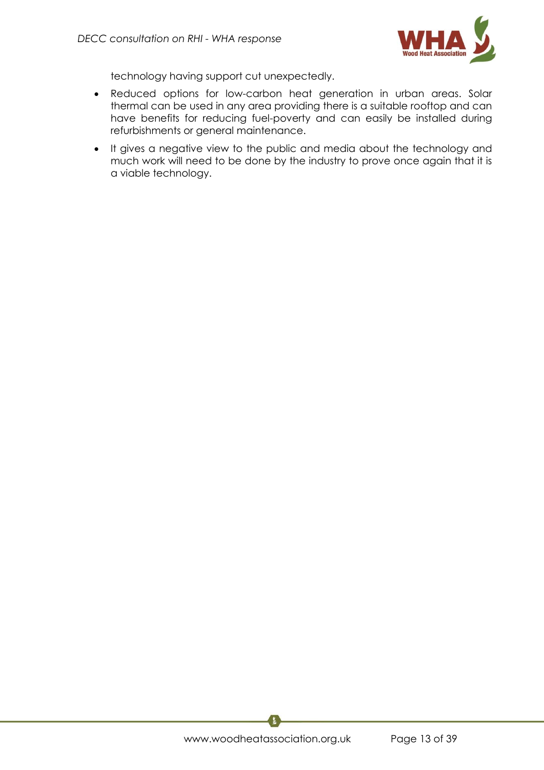

technology having support cut unexpectedly.

- Reduced options for low-carbon heat generation in urban areas. Solar thermal can be used in any area providing there is a suitable rooftop and can have benefits for reducing fuel-poverty and can easily be installed during refurbishments or general maintenance.
- It gives a negative view to the public and media about the technology and much work will need to be done by the industry to prove once again that it is a viable technology.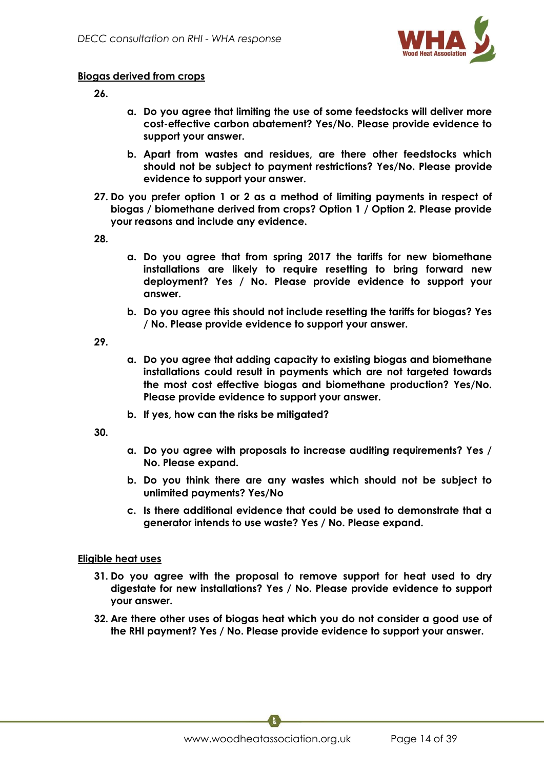

#### **Biogas derived from crops**

**26.**

- **a. Do you agree that limiting the use of some feedstocks will deliver more cost-effective carbon abatement? Yes/No. Please provide evidence to support your answer.**
- **b. Apart from wastes and residues, are there other feedstocks which should not be subject to payment restrictions? Yes/No. Please provide evidence to support your answer.**
- **27. Do you prefer option 1 or 2 as a method of limiting payments in respect of biogas / biomethane derived from crops? Option 1 / Option 2. Please provide your reasons and include any evidence.**

**28.**

- **a. Do you agree that from spring 2017 the tariffs for new biomethane installations are likely to require resetting to bring forward new deployment? Yes / No. Please provide evidence to support your answer.**
- **b. Do you agree this should not include resetting the tariffs for biogas? Yes / No. Please provide evidence to support your answer.**

**29.**

- **a. Do you agree that adding capacity to existing biogas and biomethane installations could result in payments which are not targeted towards the most cost effective biogas and biomethane production? Yes/No. Please provide evidence to support your answer.**
- **b. If yes, how can the risks be mitigated?**

**30.**

- **a. Do you agree with proposals to increase auditing requirements? Yes / No. Please expand.**
- **b. Do you think there are any wastes which should not be subject to unlimited payments? Yes/No**
- **c. Is there additional evidence that could be used to demonstrate that a generator intends to use waste? Yes / No. Please expand.**

## **Eligible heat uses**

- **31. Do you agree with the proposal to remove support for heat used to dry digestate for new installations? Yes / No. Please provide evidence to support your answer.**
- **32. Are there other uses of biogas heat which you do not consider a good use of the RHI payment? Yes / No. Please provide evidence to support your answer.**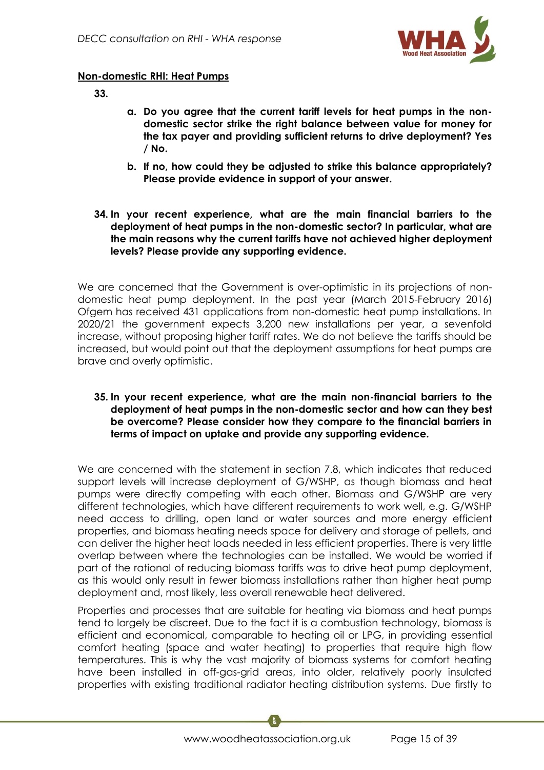

## **Non-domestic RHI: Heat Pumps**

**33.**

- **a. Do you agree that the current tariff levels for heat pumps in the nondomestic sector strike the right balance between value for money for the tax payer and providing sufficient returns to drive deployment? Yes / No.**
- **b. If no, how could they be adjusted to strike this balance appropriately? Please provide evidence in support of your answer.**
- **34. In your recent experience, what are the main financial barriers to the deployment of heat pumps in the non-domestic sector? In particular, what are the main reasons why the current tariffs have not achieved higher deployment levels? Please provide any supporting evidence.**

We are concerned that the Government is over-optimistic in its projections of nondomestic heat pump deployment. In the past year (March 2015-February 2016) Ofgem has received 431 applications from non-domestic heat pump installations. In 2020/21 the government expects 3,200 new installations per year, a sevenfold increase, without proposing higher tariff rates. We do not believe the tariffs should be increased, but would point out that the deployment assumptions for heat pumps are brave and overly optimistic.

#### **35. In your recent experience, what are the main non-financial barriers to the deployment of heat pumps in the non-domestic sector and how can they best be overcome? Please consider how they compare to the financial barriers in terms of impact on uptake and provide any supporting evidence.**

We are concerned with the statement in section 7.8, which indicates that reduced support levels will increase deployment of G/WSHP, as though biomass and heat pumps were directly competing with each other. Biomass and G/WSHP are very different technologies, which have different requirements to work well, e.g. G/WSHP need access to drilling, open land or water sources and more energy efficient properties, and biomass heating needs space for delivery and storage of pellets, and can deliver the higher heat loads needed in less efficient properties. There is very little overlap between where the technologies can be installed. We would be worried if part of the rational of reducing biomass tariffs was to drive heat pump deployment, as this would only result in fewer biomass installations rather than higher heat pump deployment and, most likely, less overall renewable heat delivered.

Properties and processes that are suitable for heating via biomass and heat pumps tend to largely be discreet. Due to the fact it is a combustion technology, biomass is efficient and economical, comparable to heating oil or LPG, in providing essential comfort heating (space and water heating) to properties that require high flow temperatures. This is why the vast majority of biomass systems for comfort heating have been installed in off-gas-grid areas, into older, relatively poorly insulated properties with existing traditional radiator heating distribution systems. Due firstly to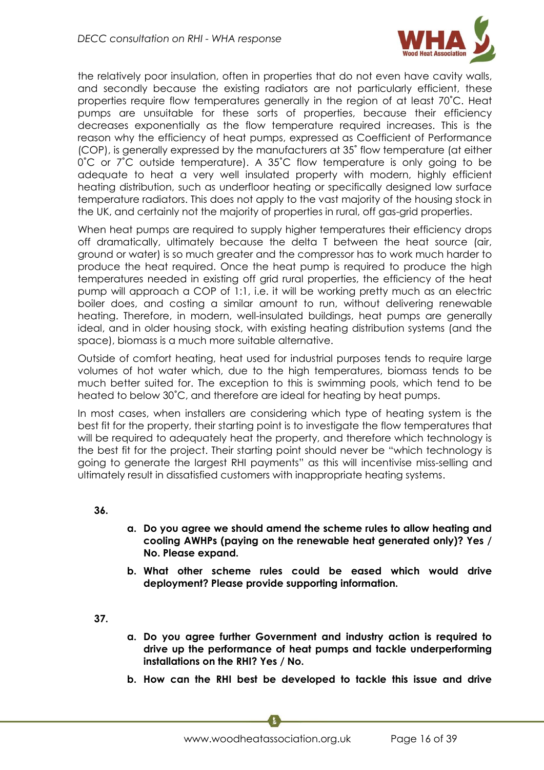

the relatively poor insulation, often in properties that do not even have cavity walls, and secondly because the existing radiators are not particularly efficient, these properties require flow temperatures generally in the region of at least 70˚C. Heat pumps are unsuitable for these sorts of properties, because their efficiency decreases exponentially as the flow temperature required increases. This is the reason why the efficiency of heat pumps, expressed as Coefficient of Performance (COP), is generally expressed by the manufacturers at 35˚ flow temperature (at either 0˚C or 7˚C outside temperature). A 35˚C flow temperature is only going to be adequate to heat a very well insulated property with modern, highly efficient heating distribution, such as underfloor heating or specifically designed low surface temperature radiators. This does not apply to the vast majority of the housing stock in the UK, and certainly not the majority of properties in rural, off gas-grid properties.

When heat pumps are required to supply higher temperatures their efficiency drops off dramatically, ultimately because the delta T between the heat source (air, ground or water) is so much greater and the compressor has to work much harder to produce the heat required. Once the heat pump is required to produce the high temperatures needed in existing off grid rural properties, the efficiency of the heat pump will approach a COP of 1:1, i.e. it will be working pretty much as an electric boiler does, and costing a similar amount to run, without delivering renewable heating. Therefore, in modern, well-insulated buildings, heat pumps are generally ideal, and in older housing stock, with existing heating distribution systems (and the space), biomass is a much more suitable alternative.

Outside of comfort heating, heat used for industrial purposes tends to require large volumes of hot water which, due to the high temperatures, biomass tends to be much better suited for. The exception to this is swimming pools, which tend to be heated to below 30˚C, and therefore are ideal for heating by heat pumps.

In most cases, when installers are considering which type of heating system is the best fit for the property, their starting point is to investigate the flow temperatures that will be required to adequately heat the property, and therefore which technology is the best fit for the project. Their starting point should never be "which technology is going to generate the largest RHI payments" as this will incentivise miss-selling and ultimately result in dissatisfied customers with inappropriate heating systems.

**36.**

- **a. Do you agree we should amend the scheme rules to allow heating and cooling AWHPs (paying on the renewable heat generated only)? Yes / No. Please expand.**
- **b. What other scheme rules could be eased which would drive deployment? Please provide supporting information.**

**37.**

- **a. Do you agree further Government and industry action is required to drive up the performance of heat pumps and tackle underperforming installations on the RHI? Yes / No.**
- **b. How can the RHI best be developed to tackle this issue and drive**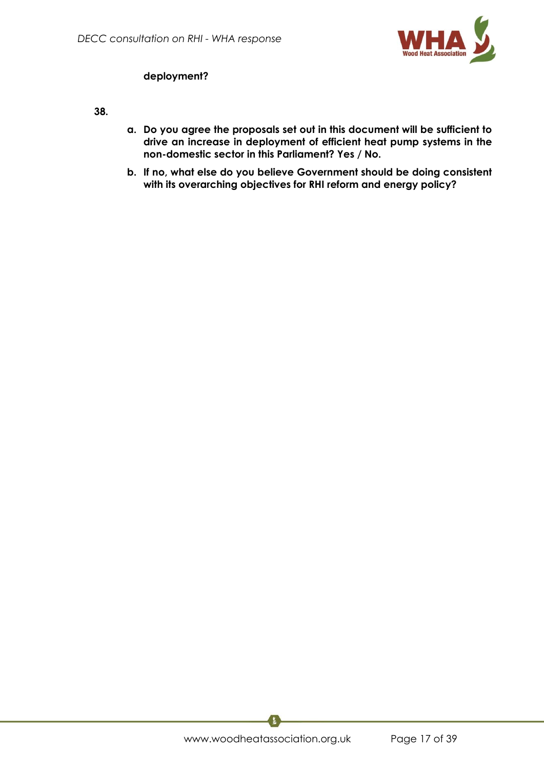

# **deployment?**

**38.**

- **a. Do you agree the proposals set out in this document will be sufficient to drive an increase in deployment of efficient heat pump systems in the non-domestic sector in this Parliament? Yes / No.**
- **b. If no, what else do you believe Government should be doing consistent with its overarching objectives for RHI reform and energy policy?**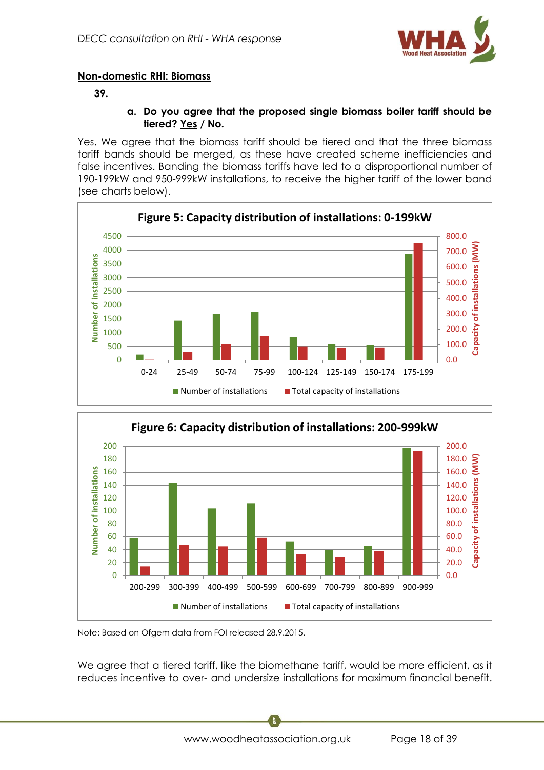

# **Non-domestic RHI: Biomass**

## **39.**

#### **a. Do you agree that the proposed single biomass boiler tariff should be tiered? Yes / No.**

Yes. We agree that the biomass tariff should be tiered and that the three biomass tariff bands should be merged, as these have created scheme inefficiencies and false incentives. Banding the biomass tariffs have led to a disproportional number of 190-199kW and 950-999kW installations, to receive the higher tariff of the lower band (see charts below).





Note: Based on Ofgem data from FOI released 28.9.2015.

We agree that a tiered tariff, like the biomethane tariff, would be more efficient, as it reduces incentive to over- and undersize installations for maximum financial benefit.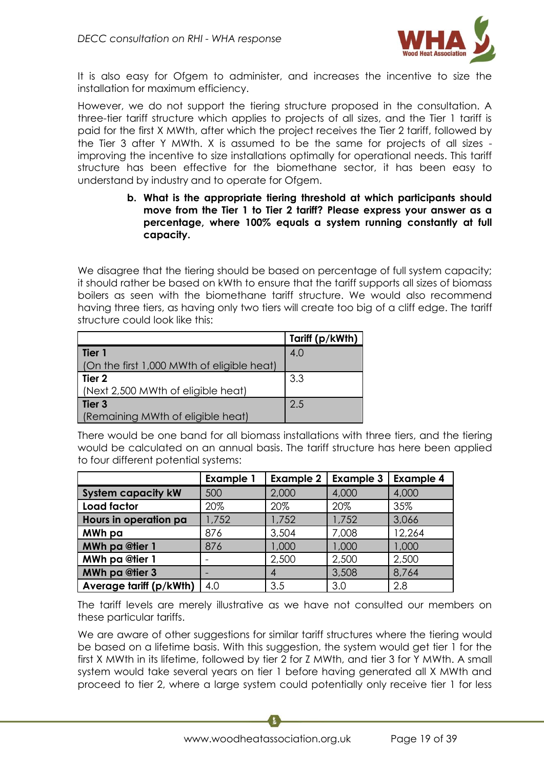

It is also easy for Ofgem to administer, and increases the incentive to size the installation for maximum efficiency.

However, we do not support the tiering structure proposed in the consultation. A three-tier tariff structure which applies to projects of all sizes, and the Tier 1 tariff is paid for the first X MWth, after which the project receives the Tier 2 tariff, followed by the Tier 3 after Y MWth. X is assumed to be the same for projects of all sizes improving the incentive to size installations optimally for operational needs. This tariff structure has been effective for the biomethane sector, it has been easy to understand by industry and to operate for Ofgem.

> **b. What is the appropriate tiering threshold at which participants should move from the Tier 1 to Tier 2 tariff? Please express your answer as a percentage, where 100% equals a system running constantly at full capacity.**

We disagree that the tiering should be based on percentage of full system capacity; it should rather be based on kWth to ensure that the tariff supports all sizes of biomass boilers as seen with the biomethane tariff structure. We would also recommend having three tiers, as having only two tiers will create too big of a cliff edge. The tariff structure could look like this:

|                                            | Tariff (p/kWth) |
|--------------------------------------------|-----------------|
| l Tier 1                                   | 4.0             |
| (On the first 1,000 MWth of eligible heat) |                 |
| Tier <sub>2</sub>                          | 3.3             |
| (Next 2,500 MWth of eligible heat)         |                 |
| Tier 3                                     | 2.5             |
| (Remaining MWth of eligible heat)          |                 |

There would be one band for all biomass installations with three tiers, and the tiering would be calculated on an annual basis. The tariff structure has here been applied to four different potential systems:

|                           | <b>Example 1</b> | <b>Example 2</b> | <b>Example 3</b> | <b>Example 4</b> |
|---------------------------|------------------|------------------|------------------|------------------|
| <b>System capacity kW</b> | 500              | 2,000            | 4,000            | 4,000            |
| <b>Load factor</b>        | 20%              | 20%              | 20%              | 35%              |
| Hours in operation pa     | 1,752            | 1,752            | 1,752            | 3,066            |
| MWh pa                    | 876              | 3,504            | 7,008            | 12,264           |
| <b>MWh pa @tier 1</b>     | 876              | 1,000            | 1,000            | 1,000            |
| <b>MWh pa @tier 1</b>     |                  | 2,500            | 2,500            | 2,500            |
| <b>MWh pa @tier 3</b>     |                  | 4                | 3,508            | 8,764            |
| Average tariff (p/kWth)   | 4.0              | 3.5              | 3.0              | 2.8              |

The tariff levels are merely illustrative as we have not consulted our members on these particular tariffs.

We are aware of other suggestions for similar tariff structures where the tiering would be based on a lifetime basis. With this suggestion, the system would get tier 1 for the first X MWth in its lifetime, followed by tier 2 for Z MWth, and tier 3 for Y MWth. A small system would take several years on tier 1 before having generated all X MWth and proceed to tier 2, where a large system could potentially only receive tier 1 for less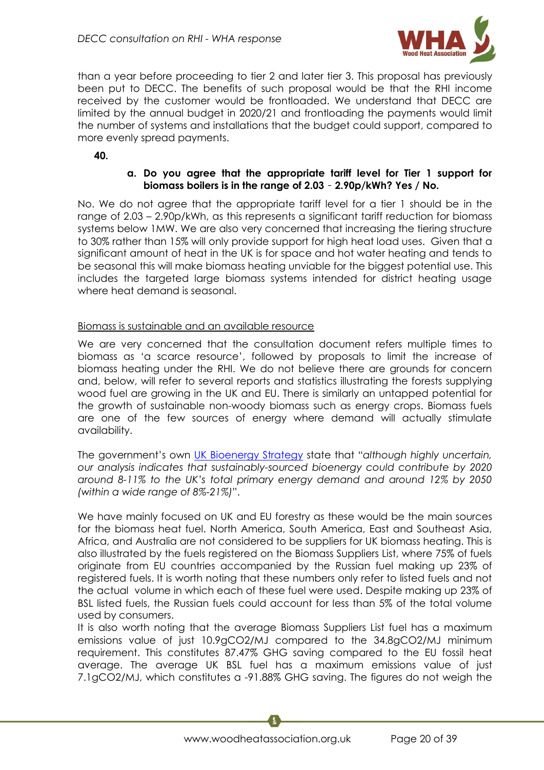

than a year before proceeding to tier 2 and later tier 3. This proposal has previously been put to DECC. The benefits of such proposal would be that the RHI income received by the customer would be frontloaded. We understand that DECC are limited by the annual budget in 2020/21 and frontloading the payments would limit the number of systems and installations that the budget could support, compared to more evenly spread payments.

**40.**

## **a. Do you agree that the appropriate tariff level for Tier 1 support for biomass boilers is in the range of 2.03** – **2.90p/kWh? Yes / No.**

No. We do not agree that the appropriate tariff level for a tier 1 should be in the range of 2.03 – 2.90p/kWh, as this represents a significant tariff reduction for biomass systems below 1MW. We are also very concerned that increasing the tiering structure to 30% rather than 15% will only provide support for high heat load uses. Given that a significant amount of heat in the UK is for space and hot water heating and tends to be seasonal this will make biomass heating unviable for the biggest potential use. This includes the targeted large biomass systems intended for district heating usage where heat demand is seasonal.

#### Biomass is sustainable and an available resource

We are very concerned that the consultation document refers multiple times to biomass as 'a scarce resource', followed by proposals to limit the increase of biomass heating under the RHI. We do not believe there are grounds for concern and, below, will refer to several reports and statistics illustrating the forests supplying wood fuel are growing in the UK and EU. There is similarly an untapped potential for the growth of sustainable non-woody biomass such as energy crops. Biomass fuels are one of the few sources of energy where demand will actually stimulate availability.

The government's own [UK Bioenergy Strategy](https://www.gov.uk/government/uploads/system/uploads/attachment_data/file/48337/5142-bioenergy-strategy-.pdf) state that "*although highly uncertain, our analysis indicates that sustainably-sourced bioenergy could contribute by 2020 around 8-11% to the UK's total primary energy demand and around 12% by 2050 (within a wide range of 8%-21%)*".

We have mainly focused on UK and EU forestry as these would be the main sources for the biomass heat fuel. North America, South America, East and Southeast Asia, Africa, and Australia are not considered to be suppliers for UK biomass heating. This is also illustrated by the fuels registered on the Biomass Suppliers List, where 75% of fuels originate from EU countries accompanied by the Russian fuel making up 23% of registered fuels. It is worth noting that these numbers only refer to listed fuels and not the actual volume in which each of these fuel were used. Despite making up 23% of BSL listed fuels, the Russian fuels could account for less than 5% of the total volume used by consumers.

It is also worth noting that the average Biomass Suppliers List fuel has a maximum emissions value of just 10.9gCO2/MJ compared to the 34.8gCO2/MJ minimum requirement. This constitutes 87.47% GHG saving compared to the EU fossil heat average. The average UK BSL fuel has a maximum emissions value of just 7.1gCO2/MJ, which constitutes a -91.88% GHG saving. The figures do not weigh the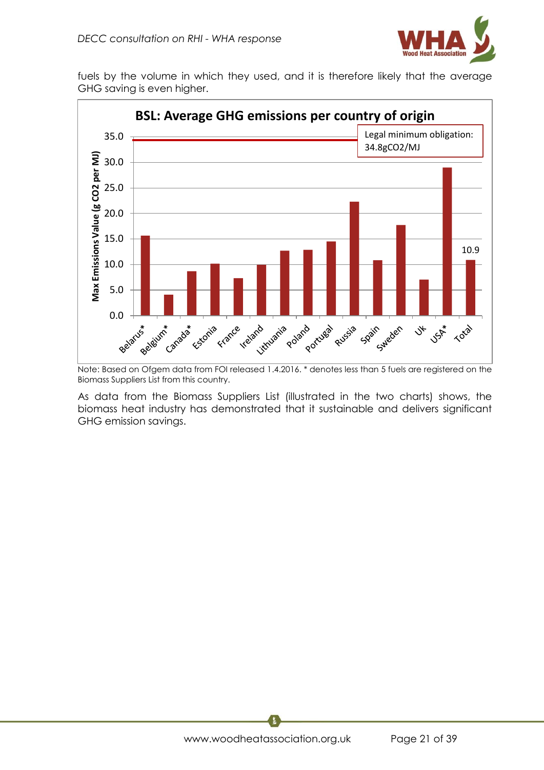

fuels by the volume in which they used, and it is therefore likely that the average GHG saving is even higher.



Note: Based on Ofgem data from FOI released 1.4.2016. \* denotes less than 5 fuels are registered on the Biomass Suppliers List from this country.

As data from the Biomass Suppliers List (illustrated in the two charts) shows, the biomass heat industry has demonstrated that it sustainable and delivers significant GHG emission savings.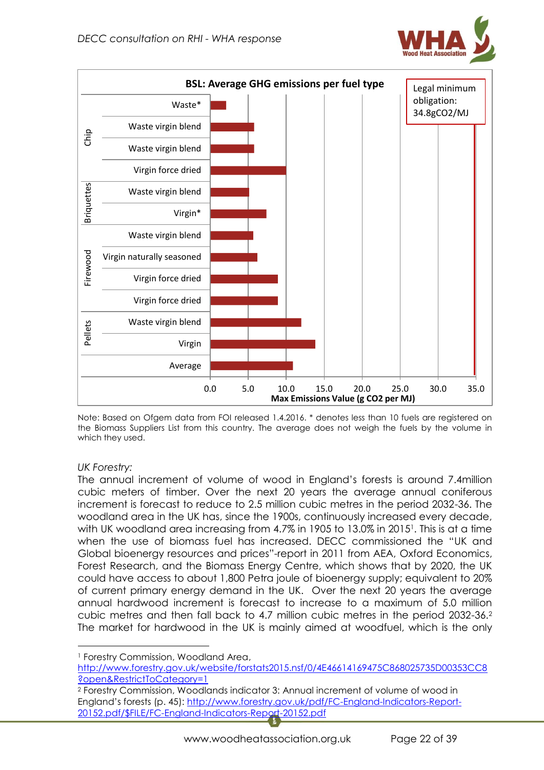



Note: Based on Ofgem data from FOI released 1.4.2016. \* denotes less than 10 fuels are registered on the Biomass Suppliers List from this country. The average does not weigh the fuels by the volume in which they used.

# *UK Forestry:*

**.** 

The annual increment of volume of wood in England's forests is around 7.4million cubic meters of timber. Over the next 20 years the average annual coniferous increment is forecast to reduce to 2.5 million cubic metres in the period 2032-36. The woodland area in the UK has, since the 1900s, continuously increased every decade, with UK woodland area increasing from 4.7% in 1905 to 13.0% in 2015<sup>1</sup> . This is at a time when the use of biomass fuel has increased. DECC commissioned the "UK and Global bioenergy resources and prices"-report in 2011 from AEA, Oxford Economics, Forest Research, and the Biomass Energy Centre, which shows that by 2020, the UK could have access to about 1,800 Petra joule of bioenergy supply; equivalent to 20% of current primary energy demand in the UK. Over the next 20 years the average annual hardwood increment is forecast to increase to a maximum of 5.0 million cubic metres and then fall back to 4.7 million cubic metres in the period 2032-36.<sup>2</sup> The market for hardwood in the UK is mainly aimed at woodfuel, which is the only

<sup>1</sup> Forestry Commission, Woodland Area,

[http://www.forestry.gov.uk/website/forstats2015.nsf/0/4E46614169475C868025735D00353CC8](http://www.forestry.gov.uk/website/forstats2015.nsf/0/4E46614169475C868025735D00353CC8?open&RestrictToCategory=1) [?open&RestrictToCategory=1](http://www.forestry.gov.uk/website/forstats2015.nsf/0/4E46614169475C868025735D00353CC8?open&RestrictToCategory=1)

<sup>2</sup> Forestry Commission, Woodlands indicator 3: Annual increment of volume of wood in England's forests (p. 45): [http://www.forestry.gov.uk/pdf/FC-England-Indicators-Report-](http://www.forestry.gov.uk/pdf/FC-England-Indicators-Report-20152.pdf/$FILE/FC-England-Indicators-Report-20152.pdf)[20152.pdf/\\$FILE/FC-England-Indicators-Report-20152.pdf](http://www.forestry.gov.uk/pdf/FC-England-Indicators-Report-20152.pdf/$FILE/FC-England-Indicators-Report-20152.pdf)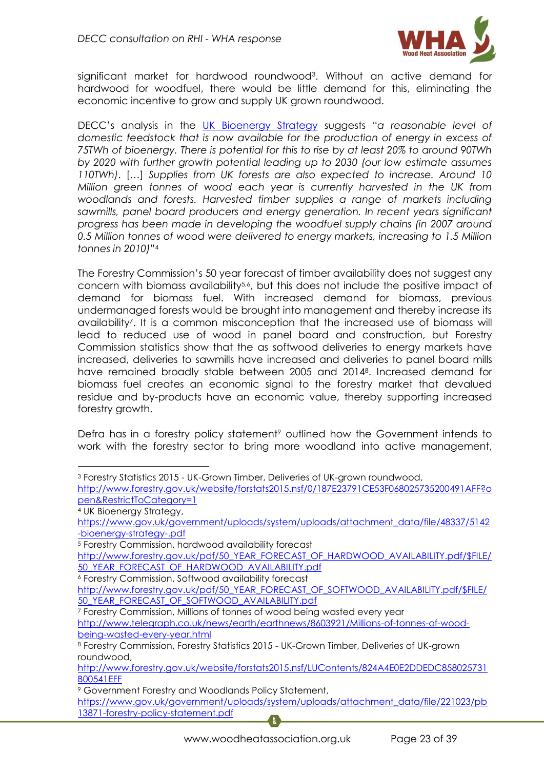

significant market for hardwood roundwood<sup>3</sup>. Without an active demand for hardwood for woodfuel, there would be little demand for this, eliminating the economic incentive to grow and supply UK grown roundwood.

DECC's analysis in the [UK Bioenergy Strategy](https://www.gov.uk/government/uploads/system/uploads/attachment_data/file/48337/5142-bioenergy-strategy-.pdf) suggests "*a reasonable level of domestic feedstock that is now available for the production of energy in excess of 75TWh of bioenergy. There is potential for this to rise by at least 20% to around 90TWh by 2020 with further growth potential leading up to 2030 (our low estimate assumes 110TWh)*. […] *Supplies from UK forests are also expected to increase. Around 10 Million green tonnes of wood each year is currently harvested in the UK from*  woodlands and forests. Harvested timber supplies a range of markets including *sawmills, panel board producers and energy generation. In recent years significant progress has been made in developing the woodfuel supply chains (in 2007 around 0.5 Million tonnes of wood were delivered to energy markets, increasing to 1.5 Million tonnes in 2010)*" 4

The Forestry Commission's 50 year forecast of timber availability does not suggest any concern with biomass availability<sup>5,6</sup>, but this does not include the positive impact of demand for biomass fuel. With increased demand for biomass, previous undermanaged forests would be brought into management and thereby increase its availability<sup>7</sup> . It is a common misconception that the increased use of biomass will lead to reduced use of wood in panel board and construction, but Forestry Commission statistics show that the as softwood deliveries to energy markets have increased, deliveries to sawmills have increased and deliveries to panel board mills have remained broadly stable between 2005 and 2014<sup>8</sup> . Increased demand for biomass fuel creates an economic signal to the forestry market that devalued residue and by-products have an economic value, thereby supporting increased forestry growth.

Defra has in a forestry policy statement<sup>9</sup> outlined how the Government intends to work with the forestry sector to bring more woodland into active management,

1

<sup>3</sup> Forestry Statistics 2015 - UK-Grown Timber, Deliveries of UK-grown roundwood,

[http://www.forestry.gov.uk/website/forstats2015.nsf/0/187E23791CE53F068025735200491AFF?o](http://www.forestry.gov.uk/website/forstats2015.nsf/0/187E23791CE53F068025735200491AFF?open&RestrictToCategory=1) [pen&RestrictToCategory=1](http://www.forestry.gov.uk/website/forstats2015.nsf/0/187E23791CE53F068025735200491AFF?open&RestrictToCategory=1)

<sup>4</sup> UK Bioenergy Strategy,

[https://www.gov.uk/government/uploads/system/uploads/attachment\\_data/file/48337/5142](https://www.gov.uk/government/uploads/system/uploads/attachment_data/file/48337/5142-bioenergy-strategy-.pdf) [-bioenergy-strategy-.pdf](https://www.gov.uk/government/uploads/system/uploads/attachment_data/file/48337/5142-bioenergy-strategy-.pdf)

<sup>5</sup> Forestry Commission, hardwood availability forecast

[http://www.forestry.gov.uk/pdf/50\\_YEAR\\_FORECAST\\_OF\\_HARDWOOD\\_AVAILABILITY.pdf/\\$FILE/](http://www.forestry.gov.uk/pdf/50_YEAR_FORECAST_OF_HARDWOOD_AVAILABILITY.pdf/$FILE/50_YEAR_FORECAST_OF_HARDWOOD_AVAILABILITY.pdf) [50\\_YEAR\\_FORECAST\\_OF\\_HARDWOOD\\_AVAILABILITY.pdf](http://www.forestry.gov.uk/pdf/50_YEAR_FORECAST_OF_HARDWOOD_AVAILABILITY.pdf/$FILE/50_YEAR_FORECAST_OF_HARDWOOD_AVAILABILITY.pdf)

<sup>6</sup> Forestry Commission, Softwood availability forecast

[http://www.forestry.gov.uk/pdf/50\\_YEAR\\_FORECAST\\_OF\\_SOFTWOOD\\_AVAILABILITY.pdf/\\$FILE/](http://www.forestry.gov.uk/pdf/50_YEAR_FORECAST_OF_SOFTWOOD_AVAILABILITY.pdf/$FILE/50_YEAR_FORECAST_OF_SOFTWOOD_AVAILABILITY.pdf) [50\\_YEAR\\_FORECAST\\_OF\\_SOFTWOOD\\_AVAILABILITY.pdf](http://www.forestry.gov.uk/pdf/50_YEAR_FORECAST_OF_SOFTWOOD_AVAILABILITY.pdf/$FILE/50_YEAR_FORECAST_OF_SOFTWOOD_AVAILABILITY.pdf)

<sup>7</sup> Forestry Commission, Millions of tonnes of wood being wasted every year

[http://www.telegraph.co.uk/news/earth/earthnews/8603921/Millions-of-tonnes-of-wood](http://www.telegraph.co.uk/news/earth/earthnews/8603921/Millions-of-tonnes-of-wood-being-wasted-every-year.html)[being-wasted-every-year.html](http://www.telegraph.co.uk/news/earth/earthnews/8603921/Millions-of-tonnes-of-wood-being-wasted-every-year.html)

<sup>8</sup> Forestry Commission, Forestry Statistics 2015 - UK-Grown Timber, Deliveries of UK-grown roundwood,

[http://www.forestry.gov.uk/website/forstats2015.nsf/LUContents/824A4E0E2DDEDC858025731](http://www.forestry.gov.uk/website/forstats2015.nsf/LUContents/824A4E0E2DDEDC858025731B00541EFF) [B00541EFF](http://www.forestry.gov.uk/website/forstats2015.nsf/LUContents/824A4E0E2DDEDC858025731B00541EFF)

<sup>9</sup> Government Forestry and Woodlands Policy Statement,

[https://www.gov.uk/government/uploads/system/uploads/attachment\\_data/file/221023/pb](https://www.gov.uk/government/uploads/system/uploads/attachment_data/file/221023/pb13871-forestry-policy-statement.pdf) [13871-forestry-policy-statement.pdf](https://www.gov.uk/government/uploads/system/uploads/attachment_data/file/221023/pb13871-forestry-policy-statement.pdf)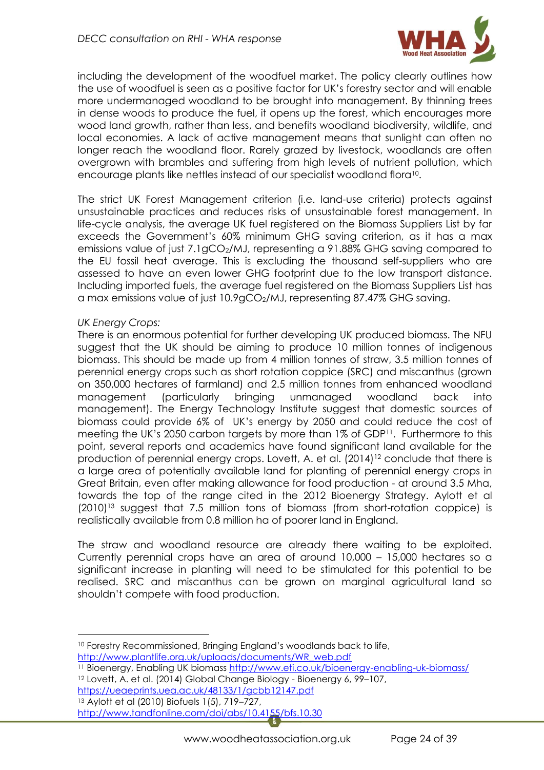

including the development of the woodfuel market. The policy clearly outlines how the use of woodfuel is seen as a positive factor for UK's forestry sector and will enable more undermanaged woodland to be brought into management. By thinning trees in dense woods to produce the fuel, it opens up the forest, which encourages more wood land growth, rather than less, and benefits woodland biodiversity, wildlife, and local economies. A lack of active management means that sunlight can often no longer reach the woodland floor. Rarely grazed by livestock, woodlands are often overgrown with brambles and suffering from high levels of nutrient pollution, which encourage plants like nettles instead of our specialist woodland flora<sup>10</sup>.

The strict UK Forest Management criterion (i.e. land-use criteria) protects against unsustainable practices and reduces risks of unsustainable forest management. In life-cycle analysis, the average UK fuel registered on the Biomass Suppliers List by far exceeds the Government's 60% minimum GHG saving criterion, as it has a max emissions value of just 7.1gCO<sub>2</sub>/MJ, representing a 91.88% GHG saving compared to the EU fossil heat average. This is excluding the thousand self-suppliers who are assessed to have an even lower GHG footprint due to the low transport distance. Including imported fuels, the average fuel registered on the Biomass Suppliers List has a max emissions value of just 10.9gCO<sub>2</sub>/MJ, representing 87.47% GHG saving.

## *UK Energy Crops:*

1

There is an enormous potential for further developing UK produced biomass. The NFU suggest that the UK should be aiming to produce 10 million tonnes of indigenous biomass. This should be made up from 4 million tonnes of straw, 3.5 million tonnes of perennial energy crops such as short rotation coppice (SRC) and miscanthus (grown on 350,000 hectares of farmland) and 2.5 million tonnes from enhanced woodland management (particularly bringing unmanaged woodland back into management). The Energy Technology Institute suggest that domestic sources of biomass could provide 6% of UK's energy by 2050 and could reduce the cost of meeting the UK's 2050 carbon targets by more than 1% of GDP<sup>11</sup> . Furthermore to this point, several reports and academics have found significant land available for the production of perennial energy crops. Lovett, A. et al. (2014)<sup>12</sup> conclude that there is a large area of potentially available land for planting of perennial energy crops in Great Britain, even after making allowance for food production - at around 3.5 Mha, towards the top of the range cited in the 2012 Bioenergy Strategy. Aylott et al (2010)<sup>13</sup> suggest that 7.5 million tons of biomass (from short-rotation coppice) is realistically available from 0.8 million ha of poorer land in England.

The straw and woodland resource are already there waiting to be exploited. Currently perennial crops have an area of around 10,000 – 15,000 hectares so a significant increase in planting will need to be stimulated for this potential to be realised. SRC and miscanthus can be grown on marginal agricultural land so shouldn't compete with food production.

<sup>&</sup>lt;sup>10</sup> Forestry Recommissioned, Bringing England's woodlands back to life,

[http://www.plantlife.org.uk/uploads/documents/WR\\_web.pdf](http://www.plantlife.org.uk/uploads/documents/WR_web.pdf)

<sup>11</sup> Bioenergy, Enabling UK biomass<http://www.eti.co.uk/bioenergy-enabling-uk-biomass/>

<sup>12</sup> Lovett, A. et al. (2014) Global Change Biology - Bioenergy 6, 99–107,

<https://ueaeprints.uea.ac.uk/48133/1/gcbb12147.pdf> <sup>13</sup> Aylott et al (2010) Biofuels 1(5), 719–727,

<http://www.tandfonline.com/doi/abs/10.4155/bfs.10.30>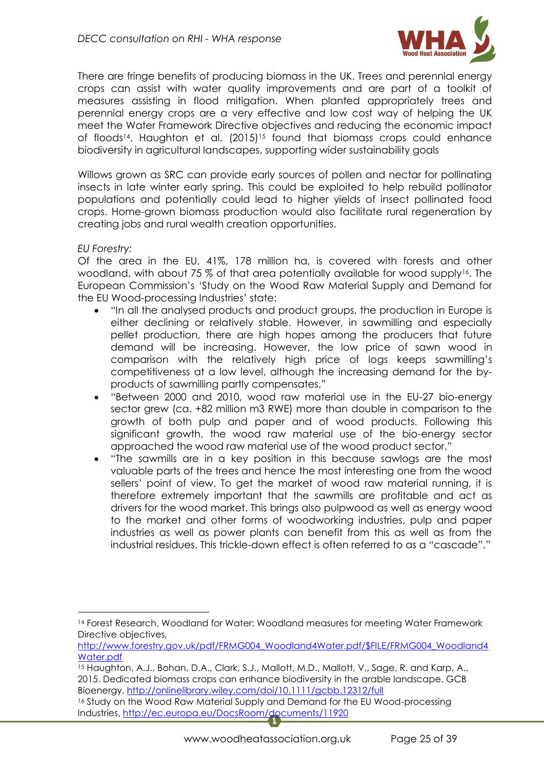

There are fringe benefits of producing biomass in the UK. Trees and perennial energy crops can assist with water quality improvements and are part of a toolkit of measures assisting in flood mitigation. When planted appropriately trees and perennial energy crops are a very effective and low cost way of helping the UK meet the Water Framework Directive objectives and reducing the economic impact of floods<sup>14</sup>. Haughton et al. (2015)<sup>15</sup> found that biomass crops could enhance biodiversity in agricultural landscapes, supporting wider sustainability goals

Willows grown as SRC can provide early sources of pollen and nectar for pollinating insects in late winter early spring. This could be exploited to help rebuild pollinator populations and potentially could lead to higher yields of insect pollinated food crops. Home-grown biomass production would also facilitate rural regeneration by creating jobs and rural wealth creation opportunities.

## *EU Forestry:*

 $\overline{a}$ 

Of the area in the EU, 41%, 178 million ha, is covered with forests and other woodland, with about 75 % of that area potentially available for wood supply<sup>16</sup>. The European Commission's 'Study on the Wood Raw Material Supply and Demand for the EU Wood-processing Industries' state:

- "In all the analysed products and product groups, the production in Europe is either declining or relatively stable. However, in sawmilling and especially pellet production, there are high hopes among the producers that future demand will be increasing. However, the low price of sawn wood in comparison with the relatively high price of logs keeps sawmilling's competitiveness at a low level, although the increasing demand for the byproducts of sawmilling partly compensates."
- "Between 2000 and 2010, wood raw material use in the EU-27 bio-energy sector grew (ca. +82 million m3 RWE) more than double in comparison to the growth of both pulp and paper and of wood products. Following this significant growth, the wood raw material use of the bio-energy sector approached the wood raw material use of the wood product sector."
- "The sawmills are in a key position in this because sawlogs are the most valuable parts of the trees and hence the most interesting one from the wood sellers' point of view. To get the market of wood raw material running, it is therefore extremely important that the sawmills are profitable and act as drivers for the wood market. This brings also pulpwood as well as energy wood to the market and other forms of woodworking industries, pulp and paper industries as well as power plants can benefit from this as well as from the industrial residues. This trickle-down effect is often referred to as a "cascade"."

<sup>14</sup> Forest Research, Woodland for Water: Woodland measures for meeting Water Framework Directive objectives,

[http://www.forestry.gov.uk/pdf/FRMG004\\_Woodland4Water.pdf/\\$FILE/FRMG004\\_Woodland4](http://www.forestry.gov.uk/pdf/FRMG004_Woodland4Water.pdf/$FILE/FRMG004_Woodland4Water.pdf) [Water.pdf](http://www.forestry.gov.uk/pdf/FRMG004_Woodland4Water.pdf/$FILE/FRMG004_Woodland4Water.pdf)

<sup>15</sup> Haughton, A.J., Bohan, D.A., Clark, S.J., Mallott, M.D., Mallott, V., Sage, R. and Karp, A., 2015. Dedicated biomass crops can enhance biodiversity in the arable landscape. GCB Bioenergy,<http://onlinelibrary.wiley.com/doi/10.1111/gcbb.12312/full>

<sup>16</sup> Study on the Wood Raw Material Supply and Demand for the EU Wood-processing Industries,<http://ec.europa.eu/DocsRoom/documents/11920>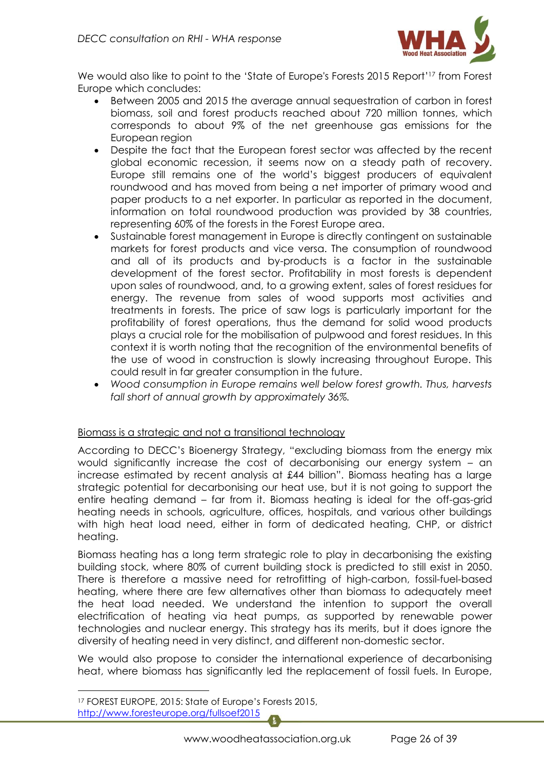

We would also like to point to the 'State of Europe's Forests 2015 Report' <sup>17</sup> from Forest Europe which concludes:

- Between 2005 and 2015 the average annual sequestration of carbon in forest biomass, soil and forest products reached about 720 million tonnes, which corresponds to about 9% of the net greenhouse gas emissions for the European region
- Despite the fact that the European forest sector was affected by the recent global economic recession, it seems now on a steady path of recovery. Europe still remains one of the world's biggest producers of equivalent roundwood and has moved from being a net importer of primary wood and paper products to a net exporter. In particular as reported in the document, information on total roundwood production was provided by 38 countries, representing 60% of the forests in the Forest Europe area.
- Sustainable forest management in Europe is directly contingent on sustainable markets for forest products and vice versa. The consumption of roundwood and all of its products and by-products is a factor in the sustainable development of the forest sector. Profitability in most forests is dependent upon sales of roundwood, and, to a growing extent, sales of forest residues for energy. The revenue from sales of wood supports most activities and treatments in forests. The price of saw logs is particularly important for the profitability of forest operations, thus the demand for solid wood products plays a crucial role for the mobilisation of pulpwood and forest residues. In this context it is worth noting that the recognition of the environmental benefits of the use of wood in construction is slowly increasing throughout Europe. This could result in far greater consumption in the future.
- *Wood consumption in Europe remains well below forest growth. Thus, harvests fall short of annual growth by approximately 36%.*

## Biomass is a strategic and not a transitional technology

According to DECC's Bioenergy Strategy, "excluding biomass from the energy mix would significantly increase the cost of decarbonising our energy system – an increase estimated by recent analysis at £44 billion". Biomass heating has a large strategic potential for decarbonising our heat use, but it is not going to support the entire heating demand – far from it. Biomass heating is ideal for the off-gas-grid heating needs in schools, agriculture, offices, hospitals, and various other buildings with high heat load need, either in form of dedicated heating, CHP, or district heating.

Biomass heating has a long term strategic role to play in decarbonising the existing building stock, where 80% of current building stock is predicted to still exist in 2050. There is therefore a massive need for retrofitting of high-carbon, fossil-fuel-based heating, where there are few alternatives other than biomass to adequately meet the heat load needed. We understand the intention to support the overall electrification of heating via heat pumps, as supported by renewable power technologies and nuclear energy. This strategy has its merits, but it does ignore the diversity of heating need in very distinct, and different non-domestic sector.

We would also propose to consider the international experience of decarbonising heat, where biomass has significantly led the replacement of fossil fuels. In Europe,

**.** 

<sup>17</sup> FOREST EUROPE, 2015: State of Europe's Forests 2015, <http://www.foresteurope.org/fullsoef2015>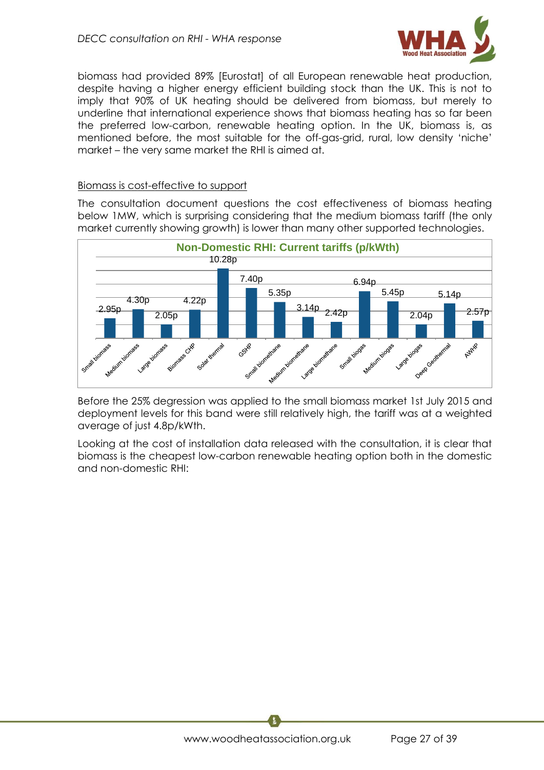

biomass had provided 89% [Eurostat] of all European renewable heat production, despite having a higher energy efficient building stock than the UK. This is not to imply that 90% of UK heating should be delivered from biomass, but merely to underline that international experience shows that biomass heating has so far been the preferred low-carbon, renewable heating option. In the UK, biomass is, as mentioned before, the most suitable for the off-gas-grid, rural, low density 'niche' market – the very same market the RHI is aimed at.

#### Biomass is cost-effective to support

The consultation document questions the cost effectiveness of biomass heating below 1MW, which is surprising considering that the medium biomass tariff (the only market currently showing growth) is lower than many other supported technologies.



Before the 25% degression was applied to the small biomass market 1st July 2015 and deployment levels for this band were still relatively high, the tariff was at a weighted average of just 4.8p/kWth.

Looking at the cost of installation data released with the consultation, it is clear that biomass is the cheapest low-carbon renewable heating option both in the domestic and non-domestic RHI: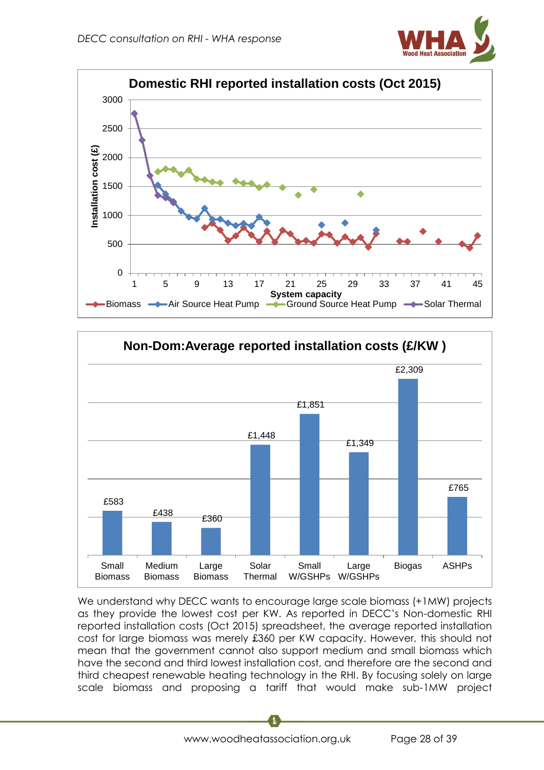





We understand why DECC wants to encourage large scale biomass (+1MW) projects as they provide the lowest cost per KW. As reported in DECC's Non-domestic RHI reported installation costs (Oct 2015) spreadsheet, the average reported installation cost for large biomass was merely £360 per KW capacity. However, this should not mean that the government cannot also support medium and small biomass which have the second and third lowest installation cost, and therefore are the second and third cheapest renewable heating technology in the RHI. By focusing solely on large scale biomass and proposing a tariff that would make sub-1MW project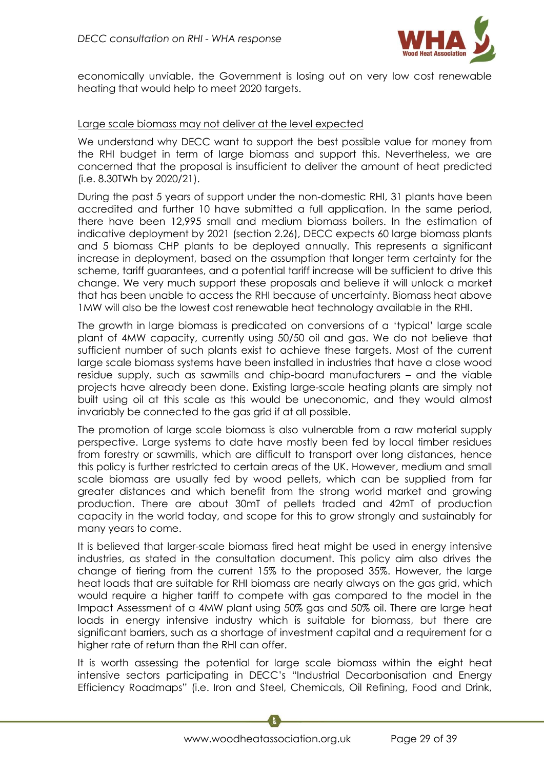

economically unviable, the Government is losing out on very low cost renewable heating that would help to meet 2020 targets.

#### Large scale biomass may not deliver at the level expected

We understand why DECC want to support the best possible value for money from the RHI budget in term of large biomass and support this. Nevertheless, we are concerned that the proposal is insufficient to deliver the amount of heat predicted (i.e. 8.30TWh by 2020/21).

During the past 5 years of support under the non-domestic RHI, 31 plants have been accredited and further 10 have submitted a full application. In the same period, there have been 12,995 small and medium biomass boilers. In the estimation of indicative deployment by 2021 (section 2.26), DECC expects 60 large biomass plants and 5 biomass CHP plants to be deployed annually. This represents a significant increase in deployment, based on the assumption that longer term certainty for the scheme, tariff guarantees, and a potential tariff increase will be sufficient to drive this change. We very much support these proposals and believe it will unlock a market that has been unable to access the RHI because of uncertainty. Biomass heat above 1MW will also be the lowest cost renewable heat technology available in the RHI.

The growth in large biomass is predicated on conversions of a 'typical' large scale plant of 4MW capacity, currently using 50/50 oil and gas. We do not believe that sufficient number of such plants exist to achieve these targets. Most of the current large scale biomass systems have been installed in industries that have a close wood residue supply, such as sawmills and chip-board manufacturers – and the viable projects have already been done. Existing large-scale heating plants are simply not built using oil at this scale as this would be uneconomic, and they would almost invariably be connected to the gas grid if at all possible.

The promotion of large scale biomass is also vulnerable from a raw material supply perspective. Large systems to date have mostly been fed by local timber residues from forestry or sawmills, which are difficult to transport over long distances, hence this policy is further restricted to certain areas of the UK. However, medium and small scale biomass are usually fed by wood pellets, which can be supplied from far greater distances and which benefit from the strong world market and growing production. There are about 30mT of pellets traded and 42mT of production capacity in the world today, and scope for this to grow strongly and sustainably for many years to come.

It is believed that larger-scale biomass fired heat might be used in energy intensive industries, as stated in the consultation document. This policy aim also drives the change of tiering from the current 15% to the proposed 35%. However, the large heat loads that are suitable for RHI biomass are nearly always on the gas grid, which would require a higher tariff to compete with gas compared to the model in the Impact Assessment of a 4MW plant using 50% gas and 50% oil. There are large heat loads in energy intensive industry which is suitable for biomass, but there are significant barriers, such as a shortage of investment capital and a requirement for a higher rate of return than the RHI can offer.

It is worth assessing the potential for large scale biomass within the eight heat intensive sectors participating in DECC's "Industrial Decarbonisation and Energy Efficiency Roadmaps" (i.e. Iron and Steel, Chemicals, Oil Refining, Food and Drink,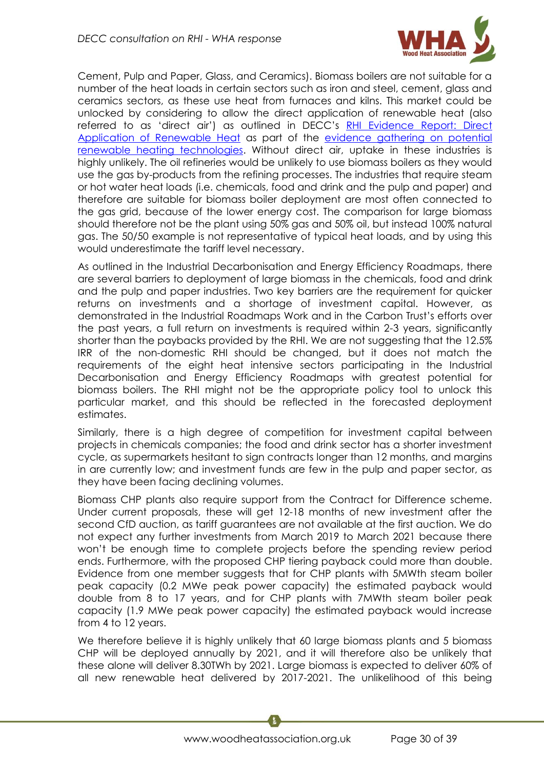

Cement, Pulp and Paper, Glass, and Ceramics). Biomass boilers are not suitable for a number of the heat loads in certain sectors such as iron and steel, cement, glass and ceramics sectors, as these use heat from furnaces and kilns. This market could be unlocked by considering to allow the direct application of renewable heat (also referred to as 'direct air') as outlined in DECC's [RHI Evidence Report: Direct](https://www.gov.uk/government/uploads/system/uploads/attachment_data/file/372992/RHI_Evidence_Report_-_Direct_Applications_of_Renewable_Heat.pdf)  [Application of Renewable Heat](https://www.gov.uk/government/uploads/system/uploads/attachment_data/file/372992/RHI_Evidence_Report_-_Direct_Applications_of_Renewable_Heat.pdf) as part of the [evidence gathering on potential](https://www.gov.uk/government/publications/evidence-gathering-on-potential-renewable-heating-technologies)  [renewable heating technologies.](https://www.gov.uk/government/publications/evidence-gathering-on-potential-renewable-heating-technologies) Without direct air, uptake in these industries is highly unlikely. The oil refineries would be unlikely to use biomass boilers as they would use the gas by-products from the refining processes. The industries that require steam or hot water heat loads (i.e. chemicals, food and drink and the pulp and paper) and therefore are suitable for biomass boiler deployment are most often connected to the gas grid, because of the lower energy cost. The comparison for large biomass should therefore not be the plant using 50% gas and 50% oil, but instead 100% natural gas. The 50/50 example is not representative of typical heat loads, and by using this would underestimate the tariff level necessary.

As outlined in the Industrial Decarbonisation and Energy Efficiency Roadmaps, there are several barriers to deployment of large biomass in the chemicals, food and drink and the pulp and paper industries. Two key barriers are the requirement for quicker returns on investments and a shortage of investment capital. However, as demonstrated in the Industrial Roadmaps Work and in the Carbon Trust's efforts over the past years, a full return on investments is required within 2-3 years, significantly shorter than the paybacks provided by the RHI. We are not suggesting that the 12.5% IRR of the non-domestic RHI should be changed, but it does not match the requirements of the eight heat intensive sectors participating in the Industrial Decarbonisation and Energy Efficiency Roadmaps with greatest potential for biomass boilers. The RHI might not be the appropriate policy tool to unlock this particular market, and this should be reflected in the forecasted deployment estimates.

Similarly, there is a high degree of competition for investment capital between projects in chemicals companies; the food and drink sector has a shorter investment cycle, as supermarkets hesitant to sign contracts longer than 12 months, and margins in are currently low; and investment funds are few in the pulp and paper sector, as they have been facing declining volumes.

Biomass CHP plants also require support from the Contract for Difference scheme. Under current proposals, these will get 12-18 months of new investment after the second CfD auction, as tariff guarantees are not available at the first auction. We do not expect any further investments from March 2019 to March 2021 because there won't be enough time to complete projects before the spending review period ends. Furthermore, with the proposed CHP tiering payback could more than double. Evidence from one member suggests that for CHP plants with 5MWth steam boiler peak capacity (0.2 MWe peak power capacity) the estimated payback would double from 8 to 17 years, and for CHP plants with 7MWth steam boiler peak capacity (1.9 MWe peak power capacity) the estimated payback would increase from 4 to 12 years.

We therefore believe it is highly unlikely that 60 large biomass plants and 5 biomass CHP will be deployed annually by 2021, and it will therefore also be unlikely that these alone will deliver 8.30TWh by 2021. Large biomass is expected to deliver 60% of all new renewable heat delivered by 2017-2021. The unlikelihood of this being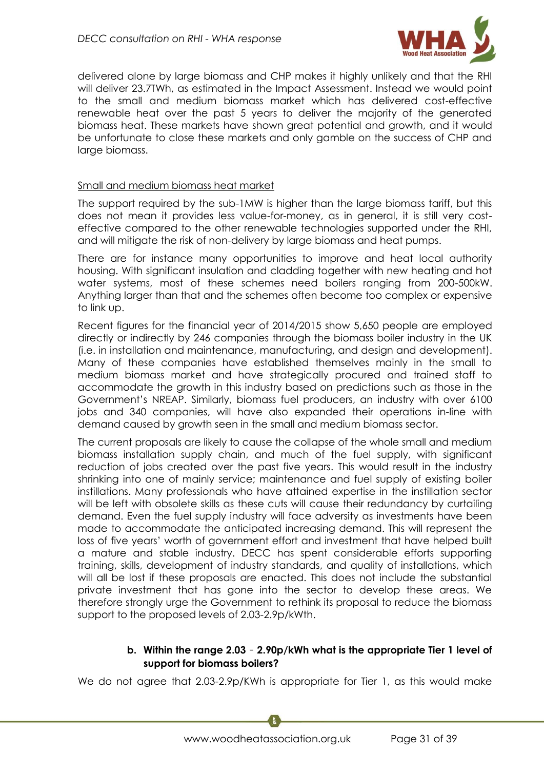

delivered alone by large biomass and CHP makes it highly unlikely and that the RHI will deliver 23.7TWh, as estimated in the Impact Assessment. Instead we would point to the small and medium biomass market which has delivered cost-effective renewable heat over the past 5 years to deliver the majority of the generated biomass heat. These markets have shown great potential and growth, and it would be unfortunate to close these markets and only gamble on the success of CHP and large biomass.

#### Small and medium biomass heat market

The support required by the sub-1MW is higher than the large biomass tariff, but this does not mean it provides less value-for-money, as in general, it is still very costeffective compared to the other renewable technologies supported under the RHI, and will mitigate the risk of non-delivery by large biomass and heat pumps.

There are for instance many opportunities to improve and heat local authority housing. With significant insulation and cladding together with new heating and hot water systems, most of these schemes need boilers ranging from 200-500kW. Anything larger than that and the schemes often become too complex or expensive to link up.

Recent figures for the financial year of 2014/2015 show 5,650 people are employed directly or indirectly by 246 companies through the biomass boiler industry in the UK (i.e. in installation and maintenance, manufacturing, and design and development). Many of these companies have established themselves mainly in the small to medium biomass market and have strategically procured and trained staff to accommodate the growth in this industry based on predictions such as those in the Government's NREAP. Similarly, biomass fuel producers, an industry with over 6100 jobs and 340 companies, will have also expanded their operations in-line with demand caused by growth seen in the small and medium biomass sector.

The current proposals are likely to cause the collapse of the whole small and medium biomass installation supply chain, and much of the fuel supply, with significant reduction of jobs created over the past five years. This would result in the industry shrinking into one of mainly service; maintenance and fuel supply of existing boiler instillations. Many professionals who have attained expertise in the instillation sector will be left with obsolete skills as these cuts will cause their redundancy by curtailing demand. Even the fuel supply industry will face adversity as investments have been made to accommodate the anticipated increasing demand. This will represent the loss of five years' worth of government effort and investment that have helped built a mature and stable industry. DECC has spent considerable efforts supporting training, skills, development of industry standards, and quality of installations, which will all be lost if these proposals are enacted. This does not include the substantial private investment that has gone into the sector to develop these areas. We therefore strongly urge the Government to rethink its proposal to reduce the biomass support to the proposed levels of 2.03-2.9p/kWth.

#### **b. Within the range 2.03** – **2.90p/kWh what is the appropriate Tier 1 level of support for biomass boilers?**

We do not agree that 2.03-2.9p/KWh is appropriate for Tier 1, as this would make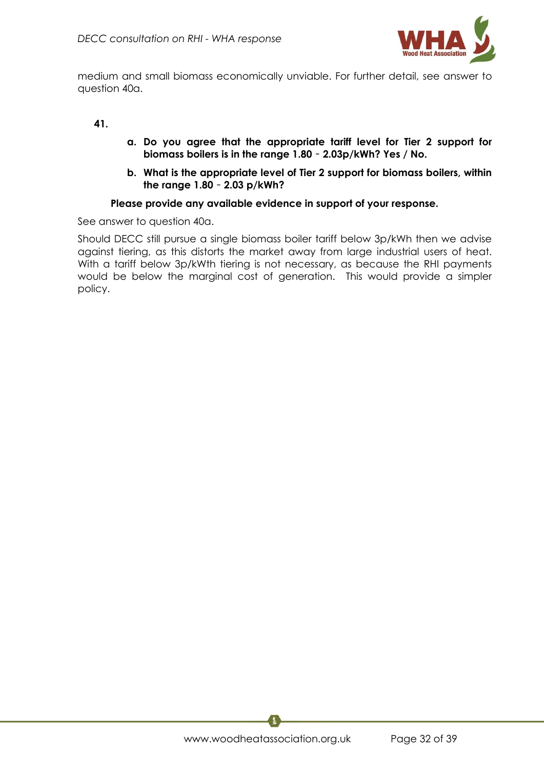

medium and small biomass economically unviable. For further detail, see answer to question 40a.

#### **41.**

- **a. Do you agree that the appropriate tariff level for Tier 2 support for biomass boilers is in the range 1.80** – **2.03p/kWh? Yes / No.**
- **b. What is the appropriate level of Tier 2 support for biomass boilers, within the range 1.80** – **2.03 p/kWh?**

#### **Please provide any available evidence in support of your response.**

See answer to question 40a.

Should DECC still pursue a single biomass boiler tariff below 3p/kWh then we advise against tiering, as this distorts the market away from large industrial users of heat. With a tariff below 3p/kWth tiering is not necessary, as because the RHI payments would be below the marginal cost of generation. This would provide a simpler policy.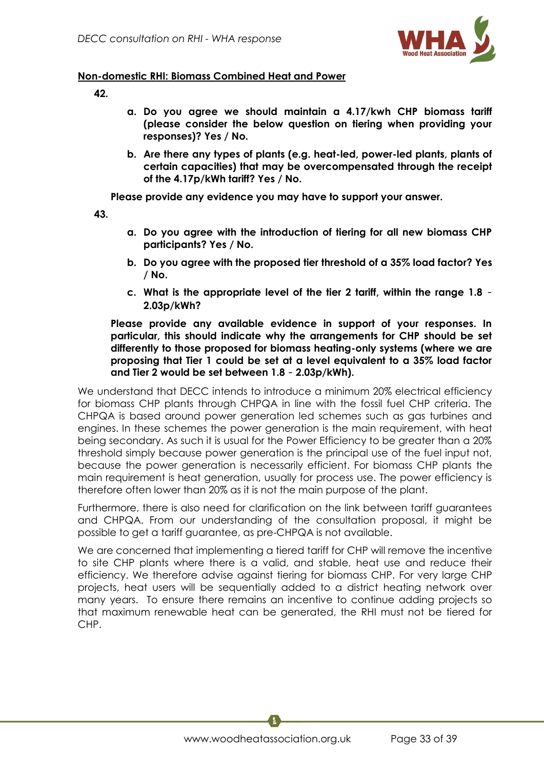

## **Non-domestic RHI: Biomass Combined Heat and Power**

- **42.**
- **a. Do you agree we should maintain a 4.17/kwh CHP biomass tariff (please consider the below question on tiering when providing your responses)? Yes / No.**
- **b. Are there any types of plants (e.g. heat-led, power-led plants, plants of certain capacities) that may be overcompensated through the receipt of the 4.17p/kWh tariff? Yes / No.**

**Please provide any evidence you may have to support your answer.**

**43.**

- **a. Do you agree with the introduction of tiering for all new biomass CHP participants? Yes / No.**
- **b. Do you agree with the proposed tier threshold of a 35% load factor? Yes / No.**
- **c. What is the appropriate level of the tier 2 tariff, within the range 1.8 2.03p/kWh?**

**Please provide any available evidence in support of your responses. In particular, this should indicate why the arrangements for CHP should be set differently to those proposed for biomass heating-only systems (where we are proposing that Tier 1 could be set at a level equivalent to a 35% load factor and Tier 2 would be set between 1.8** – **2.03p/kWh).**

We understand that DECC intends to introduce a minimum 20% electrical efficiency for biomass CHP plants through CHPQA in line with the fossil fuel CHP criteria. The CHPQA is based around power generation led schemes such as gas turbines and engines. In these schemes the power generation is the main requirement, with heat being secondary. As such it is usual for the Power Efficiency to be greater than a 20% threshold simply because power generation is the principal use of the fuel input not, because the power generation is necessarily efficient. For biomass CHP plants the main requirement is heat generation, usually for process use. The power efficiency is therefore often lower than 20% as it is not the main purpose of the plant.

Furthermore, there is also need for clarification on the link between tariff guarantees and CHPQA. From our understanding of the consultation proposal, it might be possible to get a tariff guarantee, as pre-CHPQA is not available.

We are concerned that implementing a tiered tariff for CHP will remove the incentive to site CHP plants where there is a valid, and stable, heat use and reduce their efficiency. We therefore advise against tiering for biomass CHP. For very large CHP projects, heat users will be sequentially added to a district heating network over many years. To ensure there remains an incentive to continue adding projects so that maximum renewable heat can be generated, the RHI must not be tiered for CHP.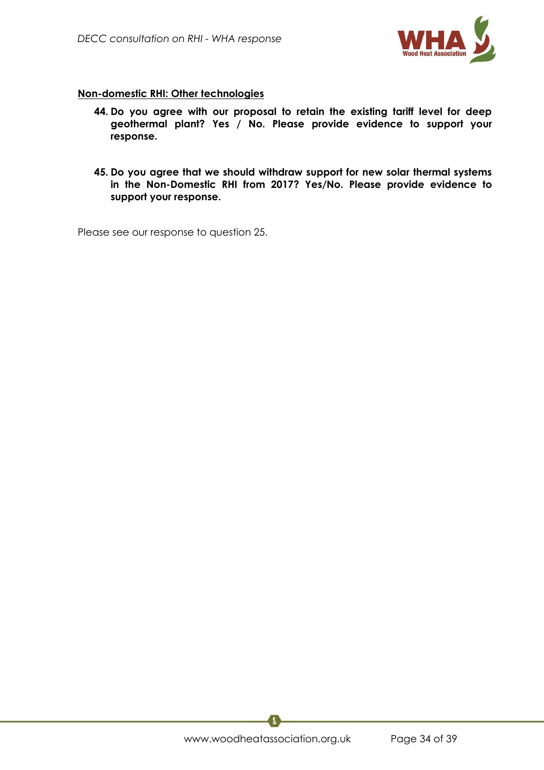

## **Non-domestic RHI: Other technologies**

- **44. Do you agree with our proposal to retain the existing tariff level for deep geothermal plant? Yes / No. Please provide evidence to support your response.**
- **45. Do you agree that we should withdraw support for new solar thermal systems in the Non-Domestic RHI from 2017? Yes/No. Please provide evidence to support your response.**

Please see our response to question 25.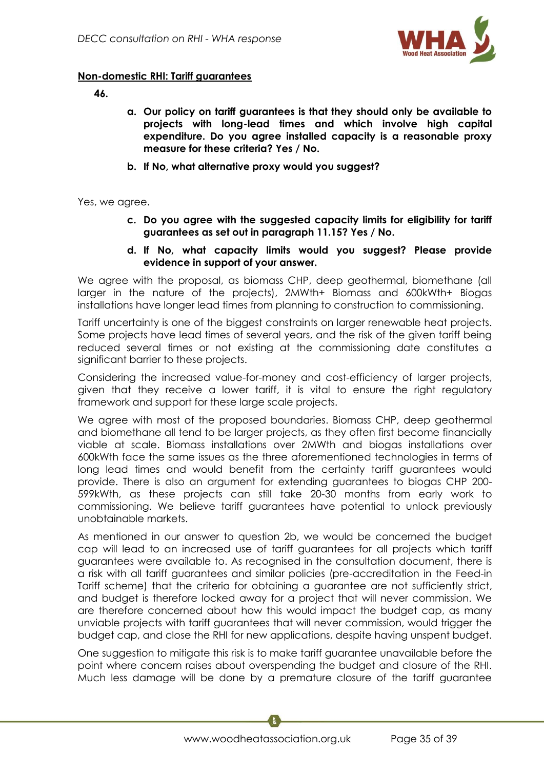

## **Non-domestic RHI: Tariff guarantees**

**46.**

- **a. Our policy on tariff guarantees is that they should only be available to projects with long-lead times and which involve high capital expenditure. Do you agree installed capacity is a reasonable proxy measure for these criteria? Yes / No.**
- **b. If No, what alternative proxy would you suggest?**

Yes, we agree.

- **c. Do you agree with the suggested capacity limits for eligibility for tariff guarantees as set out in paragraph 11.15? Yes / No.**
- **d. If No, what capacity limits would you suggest? Please provide evidence in support of your answer.**

We agree with the proposal, as biomass CHP, deep geothermal, biomethane (all larger in the nature of the projects), 2MWth+ Biomass and 600kWth+ Biogas installations have longer lead times from planning to construction to commissioning.

Tariff uncertainty is one of the biggest constraints on larger renewable heat projects. Some projects have lead times of several years, and the risk of the given tariff being reduced several times or not existing at the commissioning date constitutes a significant barrier to these projects.

Considering the increased value-for-money and cost-efficiency of larger projects, given that they receive a lower tariff, it is vital to ensure the right regulatory framework and support for these large scale projects.

We agree with most of the proposed boundaries. Biomass CHP, deep geothermal and biomethane all tend to be larger projects, as they often first become financially viable at scale. Biomass installations over 2MWth and biogas installations over 600kWth face the same issues as the three aforementioned technologies in terms of long lead times and would benefit from the certainty tariff guarantees would provide. There is also an argument for extending guarantees to biogas CHP 200- 599kWth, as these projects can still take 20-30 months from early work to commissioning. We believe tariff guarantees have potential to unlock previously unobtainable markets.

As mentioned in our answer to question 2b, we would be concerned the budget cap will lead to an increased use of tariff guarantees for all projects which tariff guarantees were available to. As recognised in the consultation document, there is a risk with all tariff guarantees and similar policies (pre-accreditation in the Feed-in Tariff scheme) that the criteria for obtaining a guarantee are not sufficiently strict, and budget is therefore locked away for a project that will never commission. We are therefore concerned about how this would impact the budget cap, as many unviable projects with tariff guarantees that will never commission, would trigger the budget cap, and close the RHI for new applications, despite having unspent budget.

One suggestion to mitigate this risk is to make tariff guarantee unavailable before the point where concern raises about overspending the budget and closure of the RHI. Much less damage will be done by a premature closure of the tariff guarantee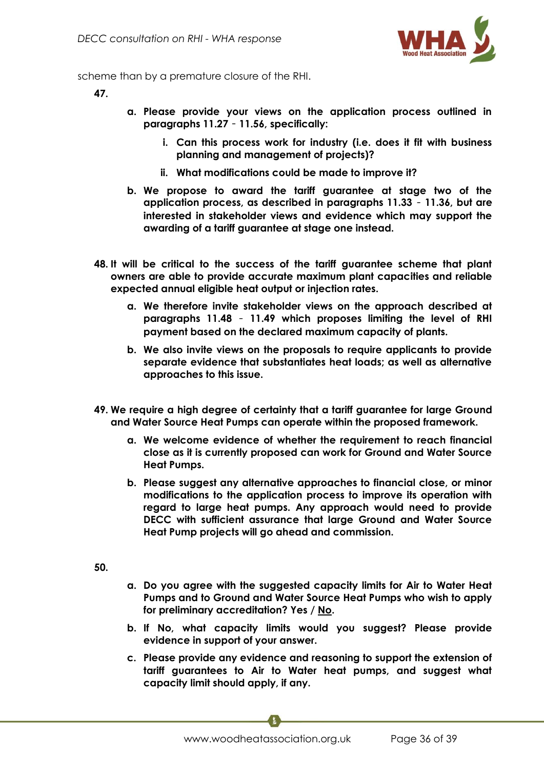

scheme than by a premature closure of the RHI.

**47.**

- **a. Please provide your views on the application process outlined in paragraphs 11.27** – **11.56, specifically:**
	- **i. Can this process work for industry (i.e. does it fit with business planning and management of projects)?**
	- **ii. What modifications could be made to improve it?**
- **b. We propose to award the tariff guarantee at stage two of the application process, as described in paragraphs 11.33** – **11.36, but are interested in stakeholder views and evidence which may support the awarding of a tariff guarantee at stage one instead.**
- **48. It will be critical to the success of the tariff guarantee scheme that plant owners are able to provide accurate maximum plant capacities and reliable expected annual eligible heat output or injection rates.**
	- **a. We therefore invite stakeholder views on the approach described at paragraphs 11.48** – **11.49 which proposes limiting the level of RHI payment based on the declared maximum capacity of plants.**
	- **b. We also invite views on the proposals to require applicants to provide separate evidence that substantiates heat loads; as well as alternative approaches to this issue.**
- **49. We require a high degree of certainty that a tariff guarantee for large Ground and Water Source Heat Pumps can operate within the proposed framework.**
	- **a. We welcome evidence of whether the requirement to reach financial close as it is currently proposed can work for Ground and Water Source Heat Pumps.**
	- **b. Please suggest any alternative approaches to financial close, or minor modifications to the application process to improve its operation with regard to large heat pumps. Any approach would need to provide DECC with sufficient assurance that large Ground and Water Source Heat Pump projects will go ahead and commission.**

**50.**

- **a. Do you agree with the suggested capacity limits for Air to Water Heat Pumps and to Ground and Water Source Heat Pumps who wish to apply for preliminary accreditation? Yes / No.**
- **b. If No, what capacity limits would you suggest? Please provide evidence in support of your answer.**
- **c. Please provide any evidence and reasoning to support the extension of tariff guarantees to Air to Water heat pumps, and suggest what capacity limit should apply, if any.**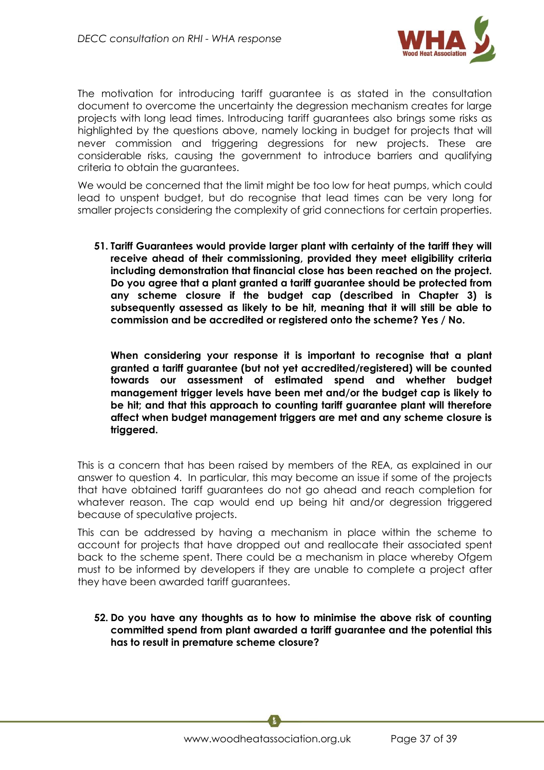

The motivation for introducing tariff guarantee is as stated in the consultation document to overcome the uncertainty the degression mechanism creates for large projects with long lead times. Introducing tariff guarantees also brings some risks as highlighted by the questions above, namely locking in budget for projects that will never commission and triggering degressions for new projects. These are considerable risks, causing the government to introduce barriers and qualifying criteria to obtain the guarantees.

We would be concerned that the limit might be too low for heat pumps, which could lead to unspent budget, but do recognise that lead times can be very long for smaller projects considering the complexity of grid connections for certain properties.

**51. Tariff Guarantees would provide larger plant with certainty of the tariff they will receive ahead of their commissioning, provided they meet eligibility criteria including demonstration that financial close has been reached on the project. Do you agree that a plant granted a tariff guarantee should be protected from any scheme closure if the budget cap (described in Chapter 3) is subsequently assessed as likely to be hit, meaning that it will still be able to commission and be accredited or registered onto the scheme? Yes / No.**

**When considering your response it is important to recognise that a plant granted a tariff guarantee (but not yet accredited/registered) will be counted towards our assessment of estimated spend and whether budget management trigger levels have been met and/or the budget cap is likely to be hit; and that this approach to counting tariff guarantee plant will therefore affect when budget management triggers are met and any scheme closure is triggered.**

This is a concern that has been raised by members of the REA, as explained in our answer to question 4. In particular, this may become an issue if some of the projects that have obtained tariff guarantees do not go ahead and reach completion for whatever reason. The cap would end up being hit and/or degression triggered because of speculative projects.

This can be addressed by having a mechanism in place within the scheme to account for projects that have dropped out and reallocate their associated spent back to the scheme spent. There could be a mechanism in place whereby Ofgem must to be informed by developers if they are unable to complete a project after they have been awarded tariff guarantees.

**52. Do you have any thoughts as to how to minimise the above risk of counting committed spend from plant awarded a tariff guarantee and the potential this has to result in premature scheme closure?**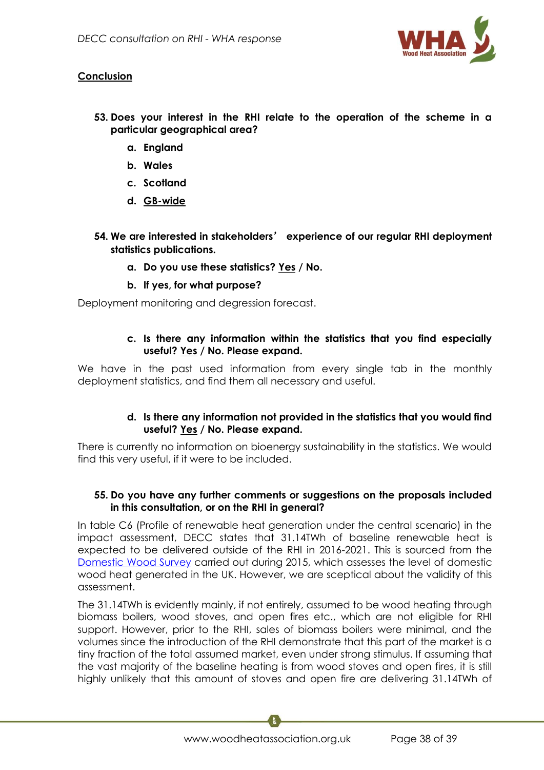

## **Conclusion**

- **53. Does your interest in the RHI relate to the operation of the scheme in a particular geographical area?**
	- **a. England**
	- **b. Wales**
	- **c. Scotland**
	- **d. GB-wide**
- **54. We are interested in stakeholders**' **experience of our regular RHI deployment statistics publications.**
	- **a. Do you use these statistics? Yes / No.**
	- **b. If yes, for what purpose?**

Deployment monitoring and degression forecast.

## **c. Is there any information within the statistics that you find especially useful? Yes / No. Please expand.**

We have in the past used information from every single tab in the monthly deployment statistics, and find them all necessary and useful.

## **d. Is there any information not provided in the statistics that you would find useful? Yes / No. Please expand.**

There is currently no information on bioenergy sustainability in the statistics. We would find this very useful, if it were to be included.

## **55. Do you have any further comments or suggestions on the proposals included in this consultation, or on the RHI in general?**

In table C6 (Profile of renewable heat generation under the central scenario) in the impact assessment, DECC states that 31.14TWh of baseline renewable heat is expected to be delivered outside of the RHI in 2016-2021. This is sourced from the [Domestic Wood Survey](https://www.gov.uk/government/uploads/system/uploads/attachment_data/file/517572/Summary_results_of_the_domestic_wood_use_survey_.pdf) carried out during 2015, which assesses the level of domestic wood heat generated in the UK. However, we are sceptical about the validity of this assessment.

The 31.14TWh is evidently mainly, if not entirely, assumed to be wood heating through biomass boilers, wood stoves, and open fires etc., which are not eligible for RHI support. However, prior to the RHI, sales of biomass boilers were minimal, and the volumes since the introduction of the RHI demonstrate that this part of the market is a tiny fraction of the total assumed market, even under strong stimulus. If assuming that the vast majority of the baseline heating is from wood stoves and open fires, it is still highly unlikely that this amount of stoves and open fire are delivering 31.14TWh of